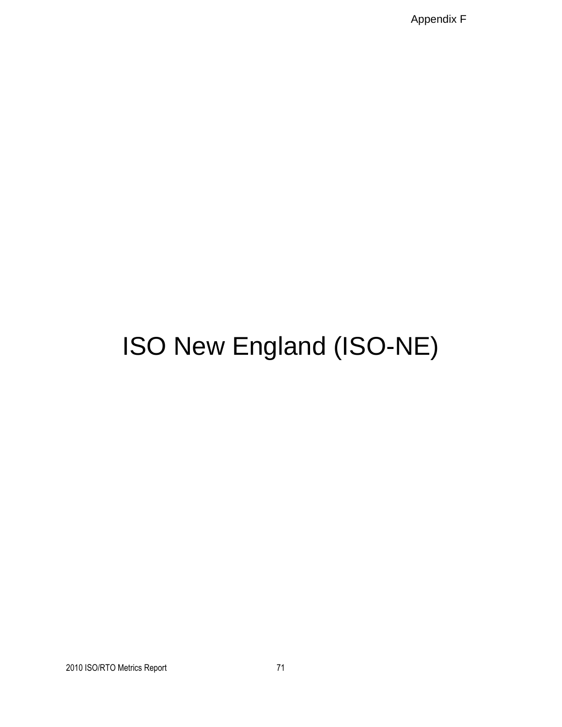Appendix F

# ISO New England (ISO-NE)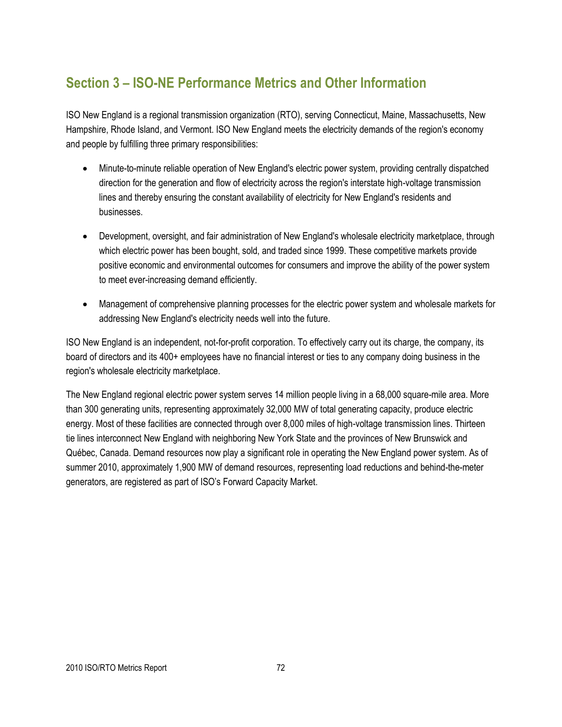## **Section 3 – ISO-NE Performance Metrics and Other Information**

ISO New England is a regional transmission organization (RTO), serving Connecticut, Maine, Massachusetts, New Hampshire, Rhode Island, and Vermont. ISO New England meets the electricity demands of the region's economy and people by fulfilling three primary responsibilities:

- Minute-to-minute reliable operation of New England's electric power system, providing centrally dispatched direction for the generation and flow of electricity across the region's interstate high-voltage transmission lines and thereby ensuring the constant availability of electricity for New England's residents and businesses.
- Development, oversight, and fair administration of New England's wholesale electricity marketplace, through which electric power has been bought, sold, and traded since 1999. These competitive markets provide positive economic and environmental outcomes for consumers and improve the ability of the power system to meet ever-increasing demand efficiently.
- Management of comprehensive planning processes for the electric power system and wholesale markets for addressing New England's electricity needs well into the future.

ISO New England is an independent, not-for-profit corporation. To effectively carry out its charge, the company, its board of directors and its 400+ employees have no financial interest or ties to any company doing business in the region's wholesale electricity marketplace.

The New England regional electric power system serves 14 million people living in a 68,000 square-mile area. More than 300 generating units, representing approximately 32,000 MW of total generating capacity, produce electric energy. Most of these facilities are connected through over 8,000 miles of high-voltage transmission lines. Thirteen tie lines interconnect New England with neighboring New York State and the provinces of New Brunswick and Québec, Canada. Demand resources now play a significant role in operating the New England power system. As of summer 2010, approximately 1,900 MW of demand resources, representing load reductions and behind-the-meter generators, are registered as part of ISO's Forward Capacity Market.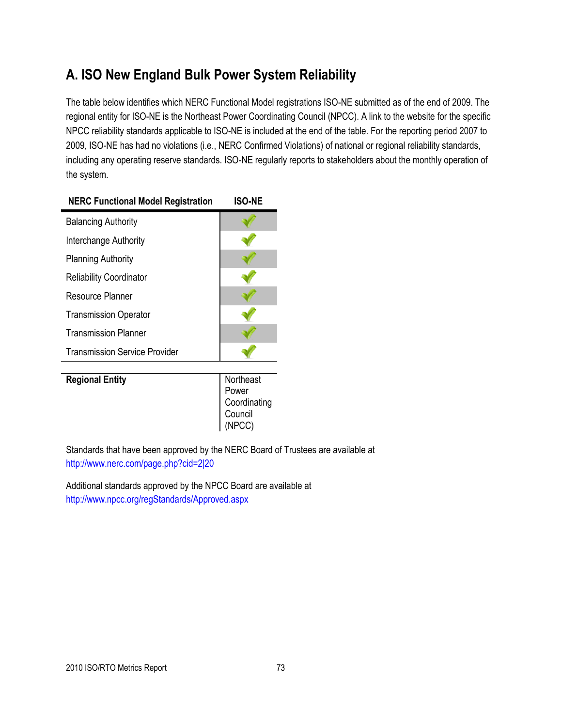## **A. ISO New England Bulk Power System Reliability**

The table below identifies which NERC Functional Model registrations ISO-NE submitted as of the end of 2009. The regional entity for ISO-NE is the Northeast Power Coordinating Council (NPCC). A link to the website for the specific NPCC reliability standards applicable to ISO-NE is included at the end of the table. For the reporting period 2007 to 2009, ISO-NE has had no violations (i.e., NERC Confirmed Violations) of national or regional reliability standards, including any operating reserve standards. ISO-NE regularly reports to stakeholders about the monthly operation of the system.

## **NERC Functional Model Registration ISO-NE** Balancing Authority Interchange Authority Planning Authority Reliability Coordinator Resource Planner Transmission Operator Transmission Planner Transmission Service Provider

**Regional Entity** Northeast Power Coordinating Council (NPCC)

Standards that have been approved by the NERC Board of Trustees are available at <http://www.nerc.com/page.php?cid=2|20>

Additional standards approved by the NPCC Board are available at <http://www.npcc.org/regStandards/Approved.aspx>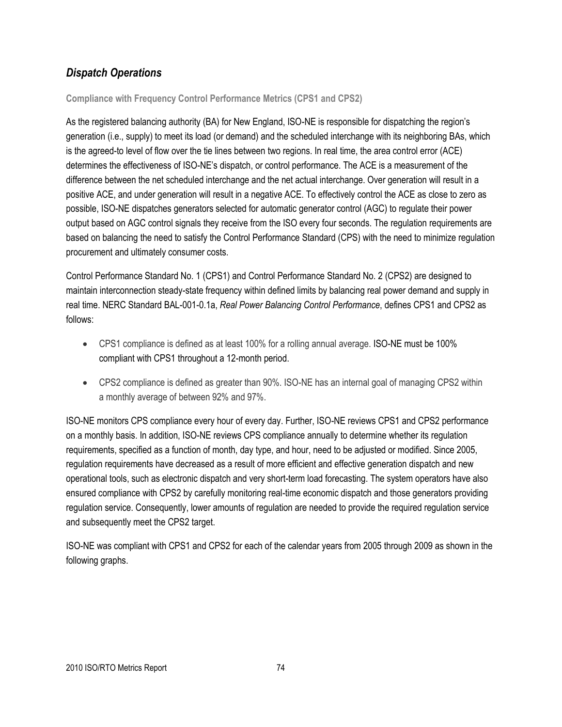## *Dispatch Operations*

**Compliance with Frequency Control Performance Metrics (CPS1 and CPS2)**

As the registered balancing authority (BA) for New England, ISO-NE is responsible for dispatching the region's generation (i.e., supply) to meet its load (or demand) and the scheduled interchange with its neighboring BAs, which is the agreed-to level of flow over the tie lines between two regions. In real time, the area control error (ACE) determines the effectiveness of ISO-NE's dispatch, or control performance. The ACE is a measurement of the difference between the net scheduled interchange and the net actual interchange. Over generation will result in a positive ACE, and under generation will result in a negative ACE. To effectively control the ACE as close to zero as possible, ISO-NE dispatches generators selected for automatic generator control (AGC) to regulate their power output based on AGC control signals they receive from the ISO every four seconds. The regulation requirements are based on balancing the need to satisfy the Control Performance Standard (CPS) with the need to minimize regulation procurement and ultimately consumer costs.

Control Performance Standard No. 1 (CPS1) and Control Performance Standard No. 2 (CPS2) are designed to maintain interconnection steady-state frequency within defined limits by balancing real power demand and supply in real time. NERC Standard BAL-001-0.1a, *Real Power Balancing Control Performance*, defines CPS1 and CPS2 as follows:

- CPS1 compliance is defined as at least 100% for a rolling annual average. ISO-NE must be 100% compliant with CPS1 throughout a 12-month period.
- CPS2 compliance is defined as greater than 90%. ISO-NE has an internal goal of managing CPS2 within a monthly average of between 92% and 97%.

ISO-NE monitors CPS compliance every hour of every day. Further, ISO-NE reviews CPS1 and CPS2 performance on a monthly basis. In addition, ISO-NE reviews CPS compliance annually to determine whether its regulation requirements, specified as a function of month, day type, and hour, need to be adjusted or modified. Since 2005, regulation requirements have decreased as a result of more efficient and effective generation dispatch and new operational tools, such as electronic dispatch and very short-term load forecasting. The system operators have also ensured compliance with CPS2 by carefully monitoring real-time economic dispatch and those generators providing regulation service. Consequently, lower amounts of regulation are needed to provide the required regulation service and subsequently meet the CPS2 target.

ISO-NE was compliant with CPS1 and CPS2 for each of the calendar years from 2005 through 2009 as shown in the following graphs.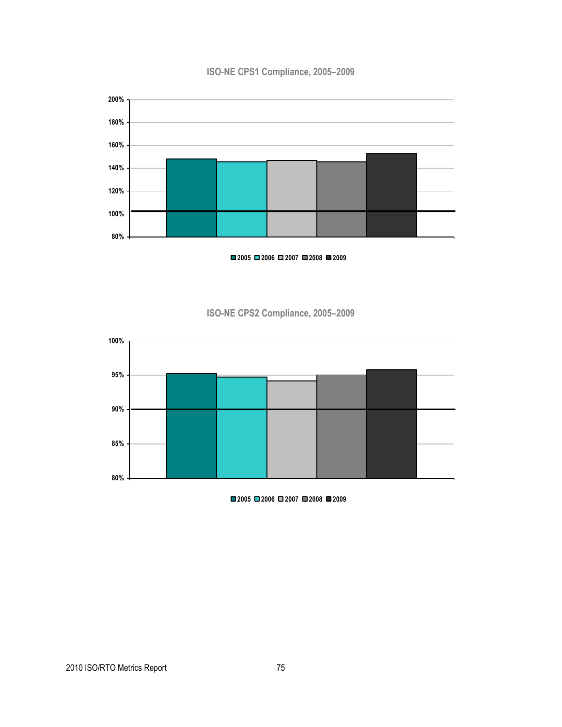### **ISO-NE CPS1 Compliance, 2005–2009**



**2005 2006 2007 2008 2009**





**2005 2006 2007 2008 2009**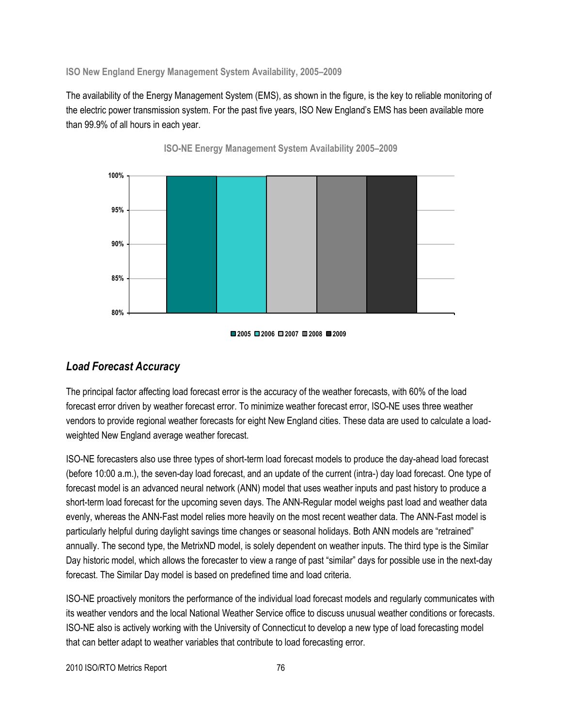**ISO New England Energy Management System Availability, 2005–2009**

The availability of the Energy Management System (EMS), as shown in the figure, is the key to reliable monitoring of the electric power transmission system. For the past five years, ISO New England's EMS has been available more than 99.9% of all hours in each year.



**ISO-NE Energy Management System Availability 2005–2009**

### *Load Forecast Accuracy*

The principal factor affecting load forecast error is the accuracy of the weather forecasts, with 60% of the load forecast error driven by weather forecast error. To minimize weather forecast error, ISO-NE uses three weather vendors to provide regional weather forecasts for eight New England cities. These data are used to calculate a loadweighted New England average weather forecast.

ISO-NE forecasters also use three types of short-term load forecast models to produce the day-ahead load forecast (before 10:00 a.m.), the seven-day load forecast, and an update of the current (intra-) day load forecast. One type of forecast model is an advanced neural network (ANN) model that uses weather inputs and past history to produce a short-term load forecast for the upcoming seven days. The ANN-Regular model weighs past load and weather data evenly, whereas the ANN-Fast model relies more heavily on the most recent weather data. The ANN-Fast model is particularly helpful during daylight savings time changes or seasonal holidays. Both ANN models are "retrained" annually. The second type, the MetrixND model, is solely dependent on weather inputs. The third type is the Similar Day historic model, which allows the forecaster to view a range of past "similar" days for possible use in the next-day forecast. The Similar Day model is based on predefined time and load criteria.

ISO-NE proactively monitors the performance of the individual load forecast models and regularly communicates with its weather vendors and the local National Weather Service office to discuss unusual weather conditions or forecasts. ISO-NE also is actively working with the University of Connecticut to develop a new type of load forecasting model that can better adapt to weather variables that contribute to load forecasting error.

**<sup>2005</sup> 2006 2007 2008 2009**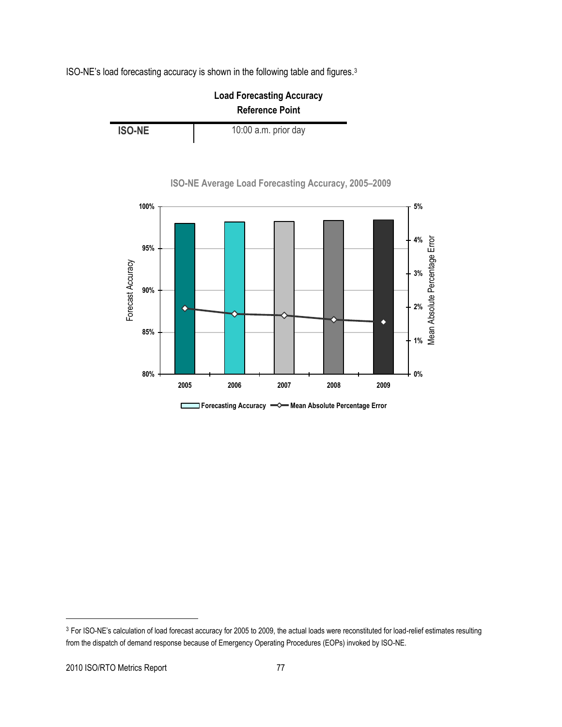ISO-NE's load forecasting accuracy is shown in the following table and figures.<sup>3</sup>





**ISO-NE Average Load Forecasting Accuracy, 2005–2009**

**C Forecasting Accuracy Mean Absolute Percentage Error**

<sup>&</sup>lt;sup>3</sup> For ISO-NE's calculation of load forecast accuracy for 2005 to 2009, the actual loads were reconstituted for load-relief estimates resulting from the dispatch of demand response because of Emergency Operating Procedures (EOPs) invoked by ISO-NE.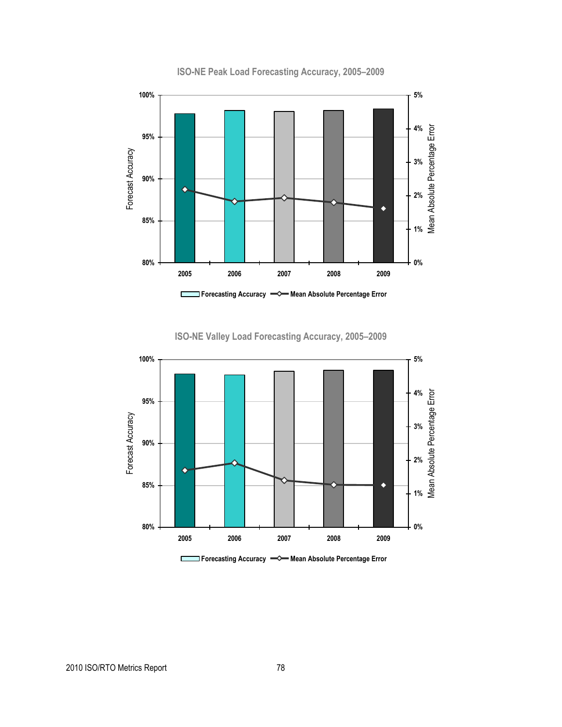

**ISO-NE Peak Load Forecasting Accuracy, 2005–2009**

**ISO-NE Valley Load Forecasting Accuracy, 2005–2009**



**Forecasting Accuracy Mean Absolute Percentage Error** $\mathcal{L}_{\mathcal{A}}$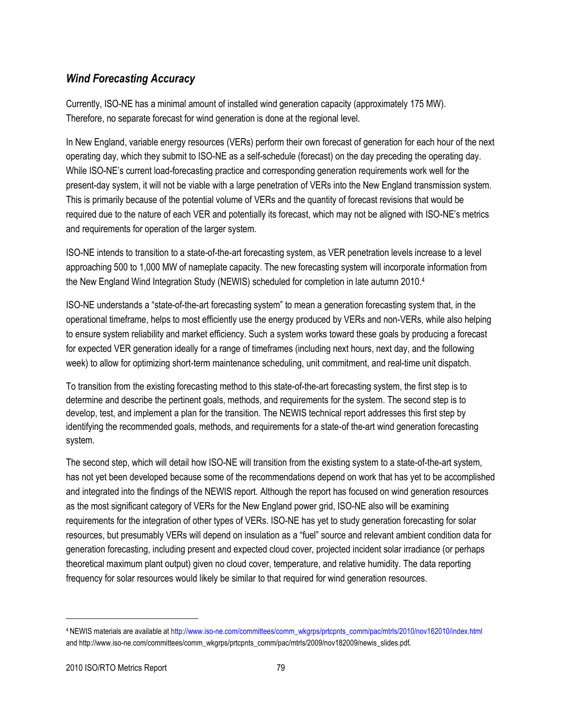## *Wind Forecasting Accuracy*

Currently, ISO-NE has a minimal amount of installed wind generation capacity (approximately 175 MW). Therefore, no separate forecast for wind generation is done at the regional level.

In New England, variable energy resources (VERs) perform their own forecast of generation for each hour of the next operating day, which they submit to ISO-NE as a self-schedule (forecast) on the day preceding the operating day. While ISO-NE's current load-forecasting practice and corresponding generation requirements work well for the present-day system, it will not be viable with a large penetration of VERs into the New England transmission system. This is primarily because of the potential volume of VERs and the quantity of forecast revisions that would be required due to the nature of each VER and potentially its forecast, which may not be aligned with ISO-NE's metrics and requirements for operation of the larger system.

ISO-NE intends to transition to a state-of-the-art forecasting system, as VER penetration levels increase to a level approaching 500 to 1,000 MW of nameplate capacity. The new forecasting system will incorporate information from the New England Wind Integration Study (NEWIS) scheduled for completion in late autumn 2010.<sup>4</sup>

ISO-NE understands a ―state-of-the-art forecasting system‖ to mean a generation forecasting system that, in the operational timeframe, helps to most efficiently use the energy produced by VERs and non-VERs, while also helping to ensure system reliability and market efficiency. Such a system works toward these goals by producing a forecast for expected VER generation ideally for a range of timeframes (including next hours, next day, and the following week) to allow for optimizing short-term maintenance scheduling, unit commitment, and real-time unit dispatch.

To transition from the existing forecasting method to this state-of-the-art forecasting system, the first step is to determine and describe the pertinent goals, methods, and requirements for the system. The second step is to develop, test, and implement a plan for the transition. The NEWIS technical report addresses this first step by identifying the recommended goals, methods, and requirements for a state-of the-art wind generation forecasting system.

The second step, which will detail how ISO-NE will transition from the existing system to a state-of-the-art system, has not yet been developed because some of the recommendations depend on work that has yet to be accomplished and integrated into the findings of the NEWIS report. Although the report has focused on wind generation resources as the most significant category of VERs for the New England power grid, ISO-NE also will be examining requirements for the integration of other types of VERs. ISO-NE has yet to study generation forecasting for solar resources, but presumably VERs will depend on insulation as a "fuel" source and relevant ambient condition data for generation forecasting, including present and expected cloud cover, projected incident solar irradiance (or perhaps theoretical maximum plant output) given no cloud cover, temperature, and relative humidity. The data reporting frequency for solar resources would likely be similar to that required for wind generation resources.

<sup>4</sup> NEWIS materials are available a[t http://www.iso-ne.com/committees/comm\\_wkgrps/prtcpnts\\_comm/pac/mtrls/2010/nov162010/index.html](http://www.iso-ne.com/committees/comm_wkgrps/prtcpnts_comm/pac/mtrls/2010/nov162010/index.html) an[d http://www.iso-ne.com/committees/comm\\_wkgrps/prtcpnts\\_comm/pac/mtrls/2009/nov182009/newis\\_slides.pdf](http://www.iso-ne.com/committees/comm_wkgrps/prtcpnts_comm/pac/mtrls/2009/nov182009/newis_slides.pdf).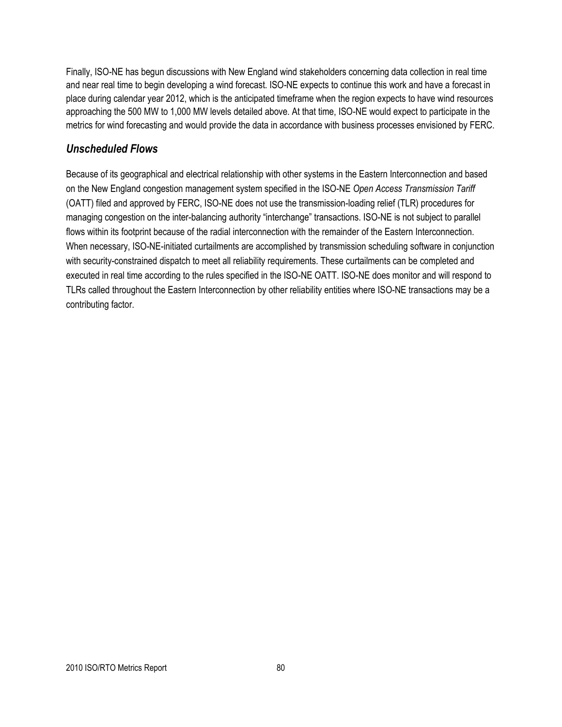Finally, ISO-NE has begun discussions with New England wind stakeholders concerning data collection in real time and near real time to begin developing a wind forecast. ISO-NE expects to continue this work and have a forecast in place during calendar year 2012, which is the anticipated timeframe when the region expects to have wind resources approaching the 500 MW to 1,000 MW levels detailed above. At that time, ISO-NE would expect to participate in the metrics for wind forecasting and would provide the data in accordance with business processes envisioned by FERC.

## *Unscheduled Flows*

Because of its geographical and electrical relationship with other systems in the Eastern Interconnection and based on the New England congestion management system specified in the ISO-NE *Open Access Transmission Tariff* (OATT) filed and approved by FERC, ISO-NE does not use the transmission-loading relief (TLR) procedures for managing congestion on the inter-balancing authority "interchange" transactions. ISO-NE is not subject to parallel flows within its footprint because of the radial interconnection with the remainder of the Eastern Interconnection. When necessary, ISO-NE-initiated curtailments are accomplished by transmission scheduling software in conjunction with security-constrained dispatch to meet all reliability requirements. These curtailments can be completed and executed in real time according to the rules specified in the ISO-NE OATT. ISO-NE does monitor and will respond to TLRs called throughout the Eastern Interconnection by other reliability entities where ISO-NE transactions may be a contributing factor.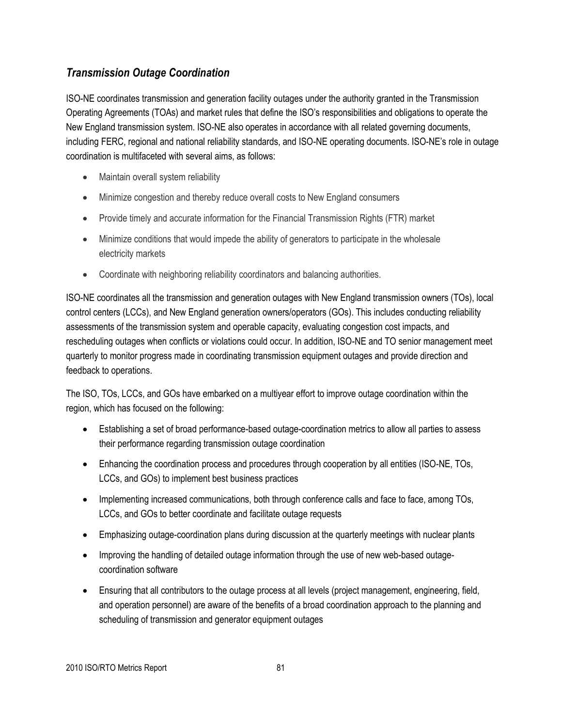## *Transmission Outage Coordination*

ISO-NE coordinates transmission and generation facility outages under the authority granted in the Transmission Operating Agreements (TOAs) and market rules that define the ISO's responsibilities and obligations to operate the New England transmission system. ISO-NE also operates in accordance with all related governing documents, including FERC, regional and national reliability standards, and ISO-NE operating documents. ISO-NE's role in outage coordination is multifaceted with several aims, as follows:

- Maintain overall system reliability
- Minimize congestion and thereby reduce overall costs to New England consumers
- Provide timely and accurate information for the Financial Transmission Rights (FTR) market
- Minimize conditions that would impede the ability of generators to participate in the wholesale electricity markets
- Coordinate with neighboring reliability coordinators and balancing authorities.

ISO-NE coordinates all the transmission and generation outages with New England transmission owners (TOs), local control centers (LCCs), and New England generation owners/operators (GOs). This includes conducting reliability assessments of the transmission system and operable capacity, evaluating congestion cost impacts, and rescheduling outages when conflicts or violations could occur. In addition, ISO-NE and TO senior management meet quarterly to monitor progress made in coordinating transmission equipment outages and provide direction and feedback to operations.

The ISO, TOs, LCCs, and GOs have embarked on a multiyear effort to improve outage coordination within the region, which has focused on the following:

- Establishing a set of broad performance-based outage-coordination metrics to allow all parties to assess their performance regarding transmission outage coordination
- Enhancing the coordination process and procedures through cooperation by all entities (ISO-NE, TOs, LCCs, and GOs) to implement best business practices
- Implementing increased communications, both through conference calls and face to face, among TOs, LCCs, and GOs to better coordinate and facilitate outage requests
- Emphasizing outage-coordination plans during discussion at the quarterly meetings with nuclear plants
- Improving the handling of detailed outage information through the use of new web-based outagecoordination software
- Ensuring that all contributors to the outage process at all levels (project management, engineering, field, and operation personnel) are aware of the benefits of a broad coordination approach to the planning and scheduling of transmission and generator equipment outages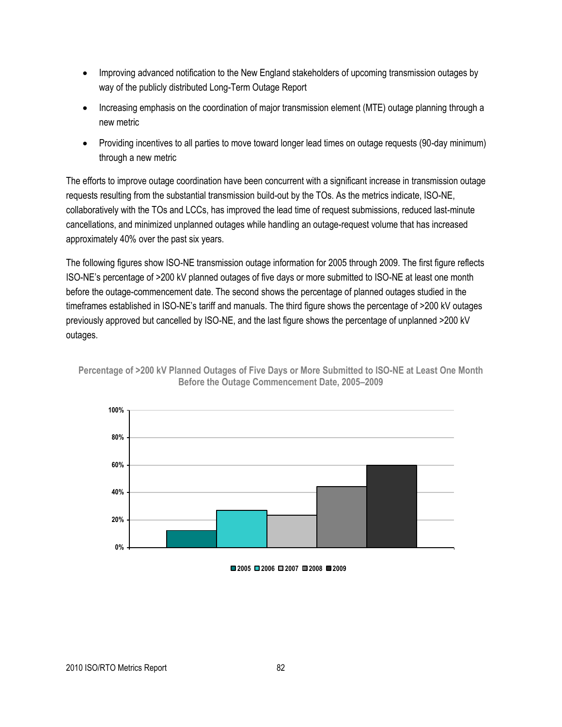- Improving advanced notification to the New England stakeholders of upcoming transmission outages by way of the publicly distributed Long-Term Outage Report
- Increasing emphasis on the coordination of major transmission element (MTE) outage planning through a new metric
- Providing incentives to all parties to move toward longer lead times on outage requests (90-day minimum) through a new metric

The efforts to improve outage coordination have been concurrent with a significant increase in transmission outage requests resulting from the substantial transmission build-out by the TOs. As the metrics indicate, ISO-NE, collaboratively with the TOs and LCCs, has improved the lead time of request submissions, reduced last-minute cancellations, and minimized unplanned outages while handling an outage-request volume that has increased approximately 40% over the past six years.

The following figures show ISO-NE transmission outage information for 2005 through 2009. The first figure reflects ISO-NE's percentage of >200 kV planned outages of five days or more submitted to ISO-NE at least one month before the outage-commencement date. The second shows the percentage of planned outages studied in the timeframes established in ISO-NE's tariff and manuals. The third figure shows the percentage of >200 kV outages previously approved but cancelled by ISO-NE, and the last figure shows the percentage of unplanned >200 kV outages.



**Percentage of >200 kV Planned Outages of Five Days or More Submitted to ISO-NE at Least One Month Before the Outage Commencement Date, 2005–2009**

**<sup>2005</sup> 2006 2007 2008 2009**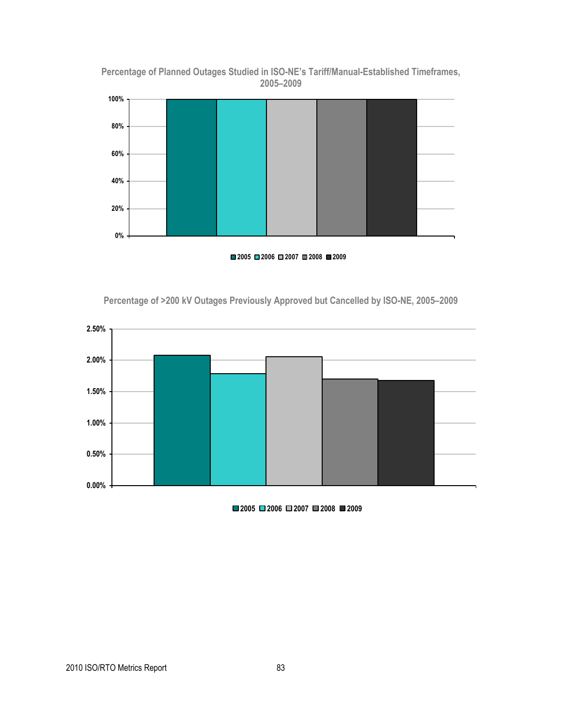



**2005 2006 2007 2008 2009**





**2005 2006 2007 2008 2009**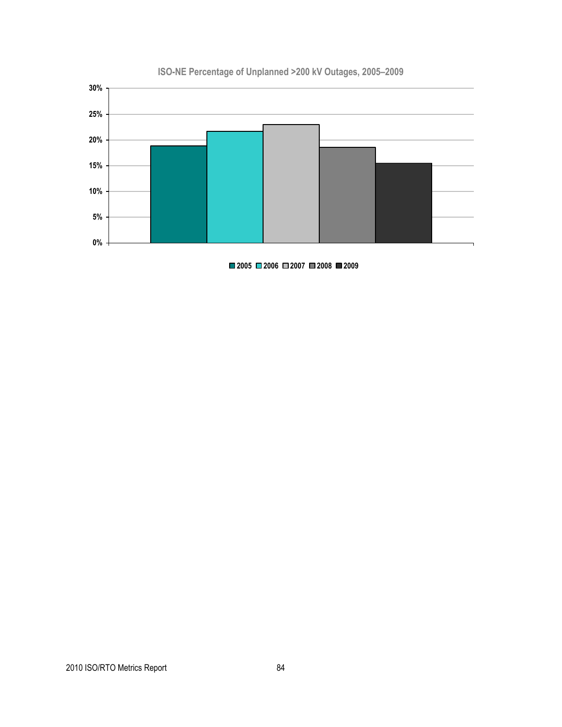

## **ISO-NE Percentage of Unplanned >200 kV Outages, 2005–2009**

**2005 2006 2007 2008 2009**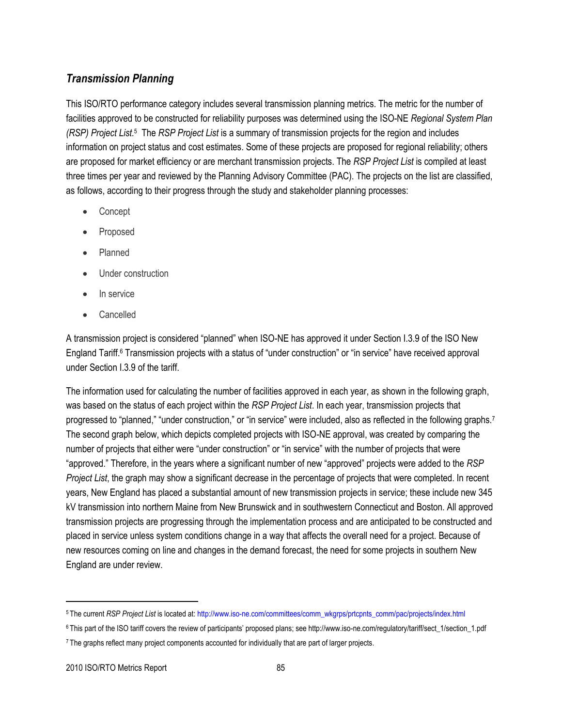## *Transmission Planning*

This ISO/RTO performance category includes several transmission planning metrics. The metric for the number of facilities approved to be constructed for reliability purposes was determined using the ISO-NE *Regional System Plan*  (RSP) Project List.<sup>5</sup> The *RSP Project List* is a summary of transmission projects for the region and includes information on project status and cost estimates. Some of these projects are proposed for regional reliability; others are proposed for market efficiency or are merchant transmission projects. The *RSP Project List* is compiled at least three times per year and reviewed by the Planning Advisory Committee (PAC). The projects on the list are classified, as follows, according to their progress through the study and stakeholder planning processes:

- Concept
- Proposed
- Planned
- Under construction
- In service
- Cancelled

A transmission project is considered "planned" when ISO-NE has approved it under Section I.3.9 of the ISO New England Tariff.<sup>6</sup> Transmission projects with a status of "under construction" or "in service" have received approval under Section I.3.9 of the tariff.

The information used for calculating the number of facilities approved in each year, as shown in the following graph, was based on the status of each project within the *RSP Project List*. In each year, transmission projects that progressed to "planned," "under construction," or "in service" were included, also as reflected in the following graphs.7 The second graph below, which depicts completed projects with ISO-NE approval, was created by comparing the number of projects that either were "under construction" or "in service" with the number of projects that were ―approved.‖ Therefore, in the years where a significant number of new ―approved‖ projects were added to the *RSP Project List*, the graph may show a significant decrease in the percentage of projects that were completed. In recent years, New England has placed a substantial amount of new transmission projects in service; these include new 345 kV transmission into northern Maine from New Brunswick and in southwestern Connecticut and Boston. All approved transmission projects are progressing through the implementation process and are anticipated to be constructed and placed in service unless system conditions change in a way that affects the overall need for a project. Because of new resources coming on line and changes in the demand forecast, the need for some projects in southern New England are under review.

<sup>5</sup> The current *RSP Project List* is located at[: http://www.iso-ne.com/committees/comm\\_wkgrps/prtcpnts\\_comm/pac/projects/index.html](http://www.iso-ne.com/committees/comm_wkgrps/prtcpnts_comm/pac/projects/index.html)

<sup>6</sup> This part of the ISO tariff covers the review of participants' proposed plans; see http://www.iso-ne.com/regulatory/tariff/sect\_1/section\_1.pdf <sup>7</sup> The graphs reflect many project components accounted for individually that are part of larger projects.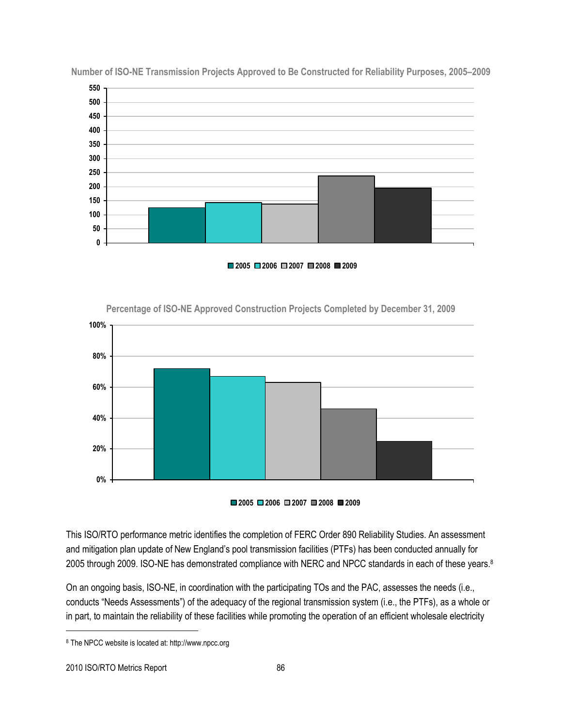

**Number of ISO-NE Transmission Projects Approved to Be Constructed for Reliability Purposes, 2005–2009**

**2005 2006 2007 2008 2009**



**Percentage of ISO-NE Approved Construction Projects Completed by December 31, 2009**

**2005 2006 2007 2008 2009**

This ISO/RTO performance metric identifies the completion of FERC Order 890 Reliability Studies. An assessment and mitigation plan update of New England's pool transmission facilities (PTFs) has been conducted annually for 2005 through 2009. ISO-NE has demonstrated compliance with NERC and NPCC standards in each of these years.<sup>8</sup>

On an ongoing basis, ISO-NE, in coordination with the participating TOs and the PAC, assesses the needs (i.e., conducts "Needs Assessments") of the adequacy of the regional transmission system (i.e., the PTFs), as a whole or in part, to maintain the reliability of these facilities while promoting the operation of an efficient wholesale electricity

 $\overline{a}$ 

<sup>8</sup> The NPCC website is located at: http://www.npcc.org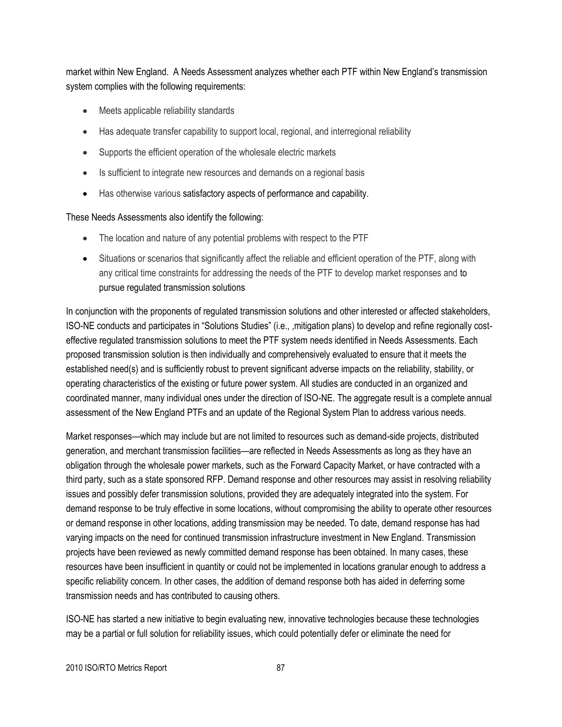market within New England. A Needs Assessment analyzes whether each PTF within New England's transmission system complies with the following requirements:

- Meets applicable reliability standards
- Has adequate transfer capability to support local, regional, and interregional reliability
- Supports the efficient operation of the wholesale electric markets
- Is sufficient to integrate new resources and demands on a regional basis
- Has otherwise various satisfactory aspects of performance and capability.

#### These Needs Assessments also identify the following:

- The location and nature of any potential problems with respect to the PTF
- Situations or scenarios that significantly affect the reliable and efficient operation of the PTF, along with any critical time constraints for addressing the needs of the PTF to develop market responses and to pursue regulated transmission solutions

In conjunction with the proponents of regulated transmission solutions and other interested or affected stakeholders, ISO-NE conducts and participates in "Solutions Studies" (i.e., ,mitigation plans) to develop and refine regionally costeffective regulated transmission solutions to meet the PTF system needs identified in Needs Assessments. Each proposed transmission solution is then individually and comprehensively evaluated to ensure that it meets the established need(s) and is sufficiently robust to prevent significant adverse impacts on the reliability, stability, or operating characteristics of the existing or future power system. All studies are conducted in an organized and coordinated manner, many individual ones under the direction of ISO-NE. The aggregate result is a complete annual assessment of the New England PTFs and an update of the Regional System Plan to address various needs.

Market responses—which may include but are not limited to resources such as demand-side projects, distributed generation, and merchant transmission facilities—are reflected in Needs Assessments as long as they have an obligation through the wholesale power markets, such as the Forward Capacity Market, or have contracted with a third party, such as a state sponsored RFP. Demand response and other resources may assist in resolving reliability issues and possibly defer transmission solutions, provided they are adequately integrated into the system. For demand response to be truly effective in some locations, without compromising the ability to operate other resources or demand response in other locations, adding transmission may be needed. To date, demand response has had varying impacts on the need for continued transmission infrastructure investment in New England. Transmission projects have been reviewed as newly committed demand response has been obtained. In many cases, these resources have been insufficient in quantity or could not be implemented in locations granular enough to address a specific reliability concern. In other cases, the addition of demand response both has aided in deferring some transmission needs and has contributed to causing others.

ISO-NE has started a new initiative to begin evaluating new, innovative technologies because these technologies may be a partial or full solution for reliability issues, which could potentially defer or eliminate the need for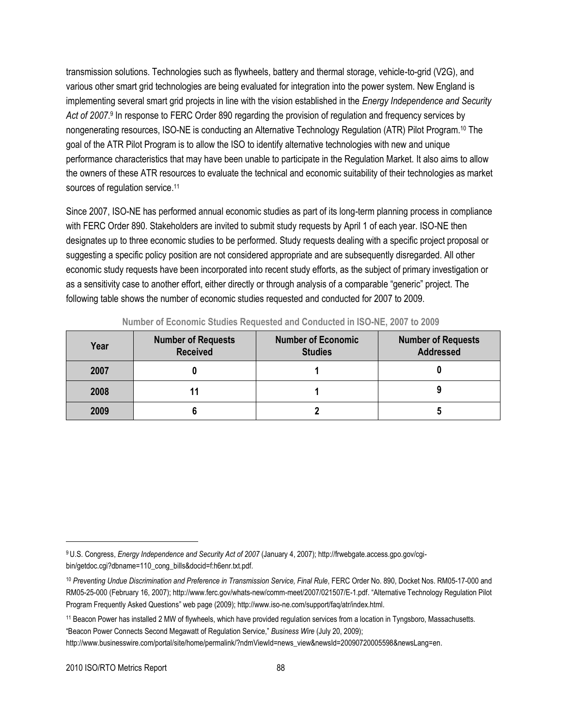transmission solutions. Technologies such as flywheels, battery and thermal storage, vehicle-to-grid (V2G), and various other smart grid technologies are being evaluated for integration into the power system. New England is implementing several smart grid projects in line with the vision established in the *Energy Independence and Security*  Act of 2007.<sup>9</sup> In response to FERC Order 890 regarding the provision of regulation and frequency services by nongenerating resources, ISO-NE is conducting an Alternative Technology Regulation (ATR) Pilot Program.<sup>10</sup> The goal of the ATR Pilot Program is to allow the ISO to identify alternative technologies with new and unique performance characteristics that may have been unable to participate in the Regulation Market. It also aims to allow the owners of these ATR resources to evaluate the technical and economic suitability of their technologies as market sources of regulation service.<sup>11</sup>

Since 2007, ISO-NE has performed annual economic studies as part of its long-term planning process in compliance with FERC Order 890. Stakeholders are invited to submit study requests by April 1 of each year. ISO-NE then designates up to three economic studies to be performed. Study requests dealing with a specific project proposal or suggesting a specific policy position are not considered appropriate and are subsequently disregarded. All other economic study requests have been incorporated into recent study efforts, as the subject of primary investigation or as a sensitivity case to another effort, either directly or through analysis of a comparable "generic" project. The following table shows the number of economic studies requested and conducted for 2007 to 2009.

| Year | <b>Number of Requests</b><br><b>Received</b> | <b>Number of Economic</b><br><b>Studies</b> | <b>Number of Requests</b><br><b>Addressed</b> |
|------|----------------------------------------------|---------------------------------------------|-----------------------------------------------|
| 2007 |                                              |                                             |                                               |
| 2008 |                                              |                                             |                                               |
| 2009 |                                              |                                             |                                               |

**Number of Economic Studies Requested and Conducted in ISO-NE, 2007 to 2009**

l

<sup>9</sup> U.S. Congress, *Energy Independence and Security Act of 2007* (January 4, 2007); http://frwebgate.access.gpo.gov/cgibin/getdoc.cgi?dbname=110\_cong\_bills&docid=f:h6enr.txt.pdf.

<sup>10</sup> Preventing Undue Discrimination and Preference in Transmission Service, Final Rule, FERC Order No. 890, Docket Nos. RM05-17-000 and RM05-25-000 (February 16, 2007)[; http://www.ferc.gov/whats-new/comm-meet/2007/021507/E-1.pdf](http://www.ferc.gov/whats-new/comm-meet/2007/021507/E-1.pdf). "Alternative Technology Regulation Pilot Program Frequently Asked Questions" web page (2009); http://www.iso-ne.com/support/faq/atr/index.html.

<sup>11</sup> Beacon Power has installed 2 MW of flywheels, which have provided regulation services from a location in Tyngsboro, Massachusetts. ―Beacon Power Connects Second Megawatt of Regulation Service,‖ *Business Wire* (July 20, 2009);

[http://www.businesswire.com/portal/site/home/permalink/?ndmViewId=news\\_view&newsId=20090720005598&newsLang=en.](http://www.businesswire.com/portal/site/home/permalink/?ndmViewId=news_view&newsId=20090720005598&newsLang=en)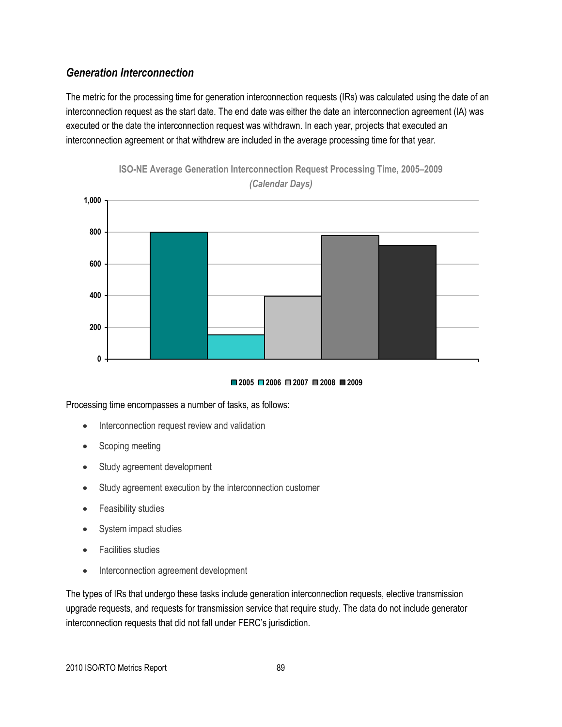## *Generation Interconnection*

The metric for the processing time for generation interconnection requests (IRs) was calculated using the date of an interconnection request as the start date. The end date was either the date an interconnection agreement (IA) was executed or the date the interconnection request was withdrawn. In each year, projects that executed an interconnection agreement or that withdrew are included in the average processing time for that year.





#### **2005 2006 2007 2008 2009**

Processing time encompasses a number of tasks, as follows:

- Interconnection request review and validation
- Scoping meeting
- Study agreement development
- Study agreement execution by the interconnection customer
- Feasibility studies
- System impact studies
- Facilities studies
- Interconnection agreement development

The types of IRs that undergo these tasks include generation interconnection requests, elective transmission upgrade requests, and requests for transmission service that require study. The data do not include generator interconnection requests that did not fall under FERC's jurisdiction.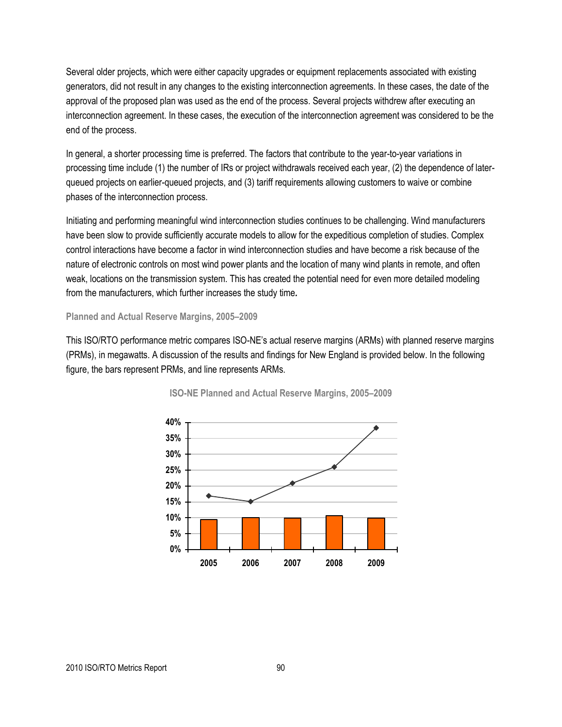Several older projects, which were either capacity upgrades or equipment replacements associated with existing generators, did not result in any changes to the existing interconnection agreements. In these cases, the date of the approval of the proposed plan was used as the end of the process. Several projects withdrew after executing an interconnection agreement. In these cases, the execution of the interconnection agreement was considered to be the end of the process.

In general, a shorter processing time is preferred. The factors that contribute to the year-to-year variations in processing time include (1) the number of IRs or project withdrawals received each year, (2) the dependence of laterqueued projects on earlier-queued projects, and (3) tariff requirements allowing customers to waive or combine phases of the interconnection process.

Initiating and performing meaningful wind interconnection studies continues to be challenging. Wind manufacturers have been slow to provide sufficiently accurate models to allow for the expeditious completion of studies. Complex control interactions have become a factor in wind interconnection studies and have become a risk because of the nature of electronic controls on most wind power plants and the location of many wind plants in remote, and often weak, locations on the transmission system. This has created the potential need for even more detailed modeling from the manufacturers, which further increases the study time*.*

**Planned and Actual Reserve Margins, 2005–2009**

This ISO/RTO performance metric compares ISO-NE's actual reserve margins (ARMs) with planned reserve margins (PRMs), in megawatts. A discussion of the results and findings for New England is provided below. In the following figure, the bars represent PRMs, and line represents ARMs.



**ISO-NE Planned and Actual Reserve Margins, 2005–2009**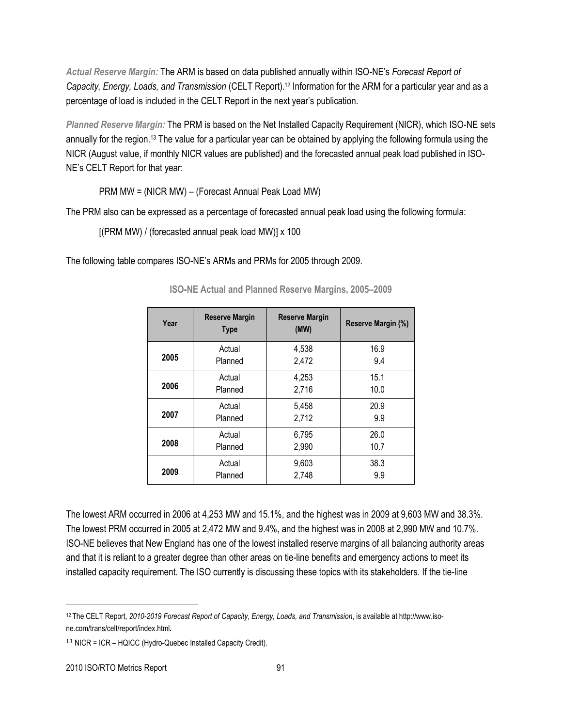*Actual Reserve Margin:* The ARM is based on data published annually within ISO-NE's *Forecast Report of Capacity, Energy, Loads, and Transmission* (CELT Report).<sup>12</sup> Information for the ARM for a particular year and as a percentage of load is included in the CELT Report in the next year's publication.

*Planned Reserve Margin:* The PRM is based on the Net Installed Capacity Requirement (NICR), which ISO-NE sets annually for the region.<sup>13</sup> The value for a particular year can be obtained by applying the following formula using the NICR (August value, if monthly NICR values are published) and the forecasted annual peak load published in ISO-NE's CELT Report for that year:

PRM MW = (NICR MW) – (Forecast Annual Peak Load MW)

The PRM also can be expressed as a percentage of forecasted annual peak load using the following formula:

[(PRM MW) / (forecasted annual peak load MW)] x 100

The following table compares ISO-NE's ARMs and PRMs for 2005 through 2009.

| <b>Reserve Margin</b><br>Year<br><b>Type</b> |         | <b>Reserve Margin</b><br>(MW) | Reserve Margin (%) |
|----------------------------------------------|---------|-------------------------------|--------------------|
| 2005                                         | Actual  | 4,538                         | 16.9               |
|                                              | Planned | 2,472                         | 9.4                |
| 2006                                         | Actual  | 4,253                         | 15.1               |
|                                              | Planned | 2,716                         | 10.0               |
| 2007                                         | Actual  | 5,458                         | 20.9               |
|                                              | Planned | 2,712                         | 9.9                |
| 2008                                         | Actual  | 6,795                         | 26.0               |
|                                              | Planned | 2,990                         | 10.7               |
| 2009                                         | Actual  | 9,603                         | 38.3               |
|                                              | Planned | 2,748                         | 9.9                |

**ISO-NE Actual and Planned Reserve Margins, 2005–2009**

The lowest ARM occurred in 2006 at 4,253 MW and 15.1%, and the highest was in 2009 at 9,603 MW and 38.3%. The lowest PRM occurred in 2005 at 2,472 MW and 9.4%, and the highest was in 2008 at 2,990 MW and 10.7%. ISO-NE believes that New England has one of the lowest installed reserve margins of all balancing authority areas and that it is reliant to a greater degree than other areas on tie-line benefits and emergency actions to meet its installed capacity requirement. The ISO currently is discussing these topics with its stakeholders. If the tie-line

<sup>12</sup> The CELT Report, *2010-2019 Forecast Report of Capacity, Energy, Loads, and Transmission*, is available a[t http://www.iso](http://www.iso-ne.com/trans/celt/report/index.html)[ne.com/trans/celt/report/index.html](http://www.iso-ne.com/trans/celt/report/index.html).

<sup>13</sup> NICR = ICR – HQICC (Hydro-Quebec Installed Capacity Credit).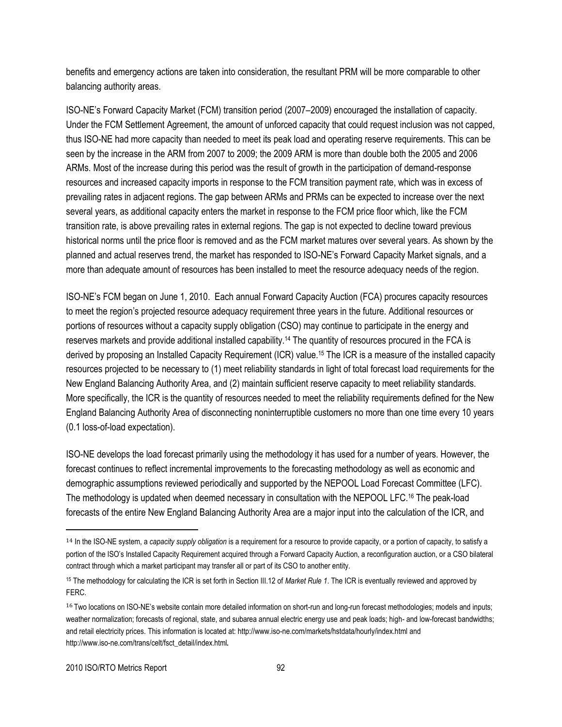benefits and emergency actions are taken into consideration, the resultant PRM will be more comparable to other balancing authority areas.

ISO-NE's Forward Capacity Market (FCM) transition period (2007–2009) encouraged the installation of capacity. Under the FCM Settlement Agreement, the amount of unforced capacity that could request inclusion was not capped, thus ISO-NE had more capacity than needed to meet its peak load and operating reserve requirements. This can be seen by the increase in the ARM from 2007 to 2009; the 2009 ARM is more than double both the 2005 and 2006 ARMs. Most of the increase during this period was the result of growth in the participation of demand-response resources and increased capacity imports in response to the FCM transition payment rate, which was in excess of prevailing rates in adjacent regions. The gap between ARMs and PRMs can be expected to increase over the next several years, as additional capacity enters the market in response to the FCM price floor which, like the FCM transition rate, is above prevailing rates in external regions. The gap is not expected to decline toward previous historical norms until the price floor is removed and as the FCM market matures over several years. As shown by the planned and actual reserves trend, the market has responded to ISO-NE's Forward Capacity Market signals, and a more than adequate amount of resources has been installed to meet the resource adequacy needs of the region.

ISO-NE's FCM began on June 1, 2010. Each annual Forward Capacity Auction (FCA) procures capacity resources to meet the region's projected resource adequacy requirement three years in the future. Additional resources or portions of resources without a capacity supply obligation (CSO) may continue to participate in the energy and reserves markets and provide additional installed capability.<sup>14</sup> The quantity of resources procured in the FCA is derived by proposing an Installed Capacity Requirement (ICR) value.<sup>15</sup> The ICR is a measure of the installed capacity resources projected to be necessary to (1) meet reliability standards in light of total forecast load requirements for the New England Balancing Authority Area, and (2) maintain sufficient reserve capacity to meet reliability standards. More specifically, the ICR is the quantity of resources needed to meet the reliability requirements defined for the New England Balancing Authority Area of disconnecting noninterruptible customers no more than one time every 10 years (0.1 loss-of-load expectation).

ISO-NE develops the load forecast primarily using the methodology it has used for a number of years. However, the forecast continues to reflect incremental improvements to the forecasting methodology as well as economic and demographic assumptions reviewed periodically and supported by the NEPOOL Load Forecast Committee (LFC). The methodology is updated when deemed necessary in consultation with the NEPOOL LFC.<sup>16</sup> The peak-load forecasts of the entire New England Balancing Authority Area are a major input into the calculation of the ICR, and

<sup>14</sup> In the ISO-NE system, a *capacity supply obligation* is a requirement for a resource to provide capacity, or a portion of capacity, to satisfy a portion of the ISO's Installed Capacity Requirement acquired through a Forward Capacity Auction, a reconfiguration auction, or a CSO bilateral contract through which a market participant may transfer all or part of its CSO to another entity.

<sup>15</sup> The methodology for calculating the ICR is set forth in Section III.12 of *Market Rule 1*. The ICR is eventually reviewed and approved by FERC.

<sup>&</sup>lt;sup>16</sup> Two locations on ISO-NE's website contain more detailed information on short-run and long-run forecast methodologies; models and inputs; weather normalization; forecasts of regional, state, and subarea annual electric energy use and peak loads; high- and low-forecast bandwidths; and retail electricity prices. This information is located at[: http://www.iso-ne.com/markets/hstdata/hourly/index.html](http://www.iso-ne.com/markets/hstdata/hourly/index.html) and [http://www.iso-ne.com/trans/celt/fsct\\_detail/index.html](http://www.iso-ne.com/trans/celt/fsct_detail/index.html).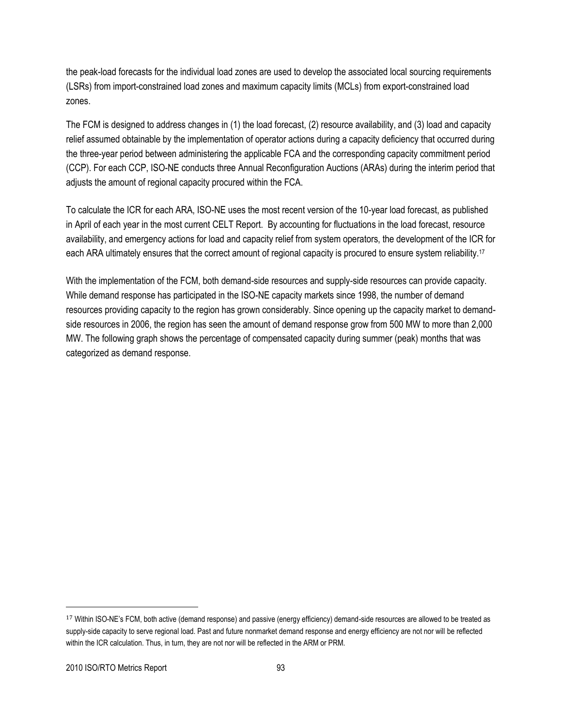the peak-load forecasts for the individual load zones are used to develop the associated local sourcing requirements (LSRs) from import-constrained load zones and maximum capacity limits (MCLs) from export-constrained load zones.

The FCM is designed to address changes in (1) the load forecast, (2) resource availability, and (3) load and capacity relief assumed obtainable by the implementation of operator actions during a capacity deficiency that occurred during the three-year period between administering the applicable FCA and the corresponding capacity commitment period (CCP). For each CCP, ISO-NE conducts three Annual Reconfiguration Auctions (ARAs) during the interim period that adjusts the amount of regional capacity procured within the FCA.

To calculate the ICR for each ARA, ISO-NE uses the most recent version of the 10-year load forecast, as published in April of each year in the most current CELT Report. By accounting for fluctuations in the load forecast, resource availability, and emergency actions for load and capacity relief from system operators, the development of the ICR for each ARA ultimately ensures that the correct amount of regional capacity is procured to ensure system reliability.<sup>17</sup>

With the implementation of the FCM, both demand-side resources and supply-side resources can provide capacity. While demand response has participated in the ISO-NE capacity markets since 1998, the number of demand resources providing capacity to the region has grown considerably. Since opening up the capacity market to demandside resources in 2006, the region has seen the amount of demand response grow from 500 MW to more than 2,000 MW. The following graph shows the percentage of compensated capacity during summer (peak) months that was categorized as demand response.

<sup>17</sup> Within ISO-NE's FCM, both active (demand response) and passive (energy efficiency) demand-side resources are allowed to be treated as supply-side capacity to serve regional load. Past and future nonmarket demand response and energy efficiency are not nor will be reflected within the ICR calculation. Thus, in turn, they are not nor will be reflected in the ARM or PRM.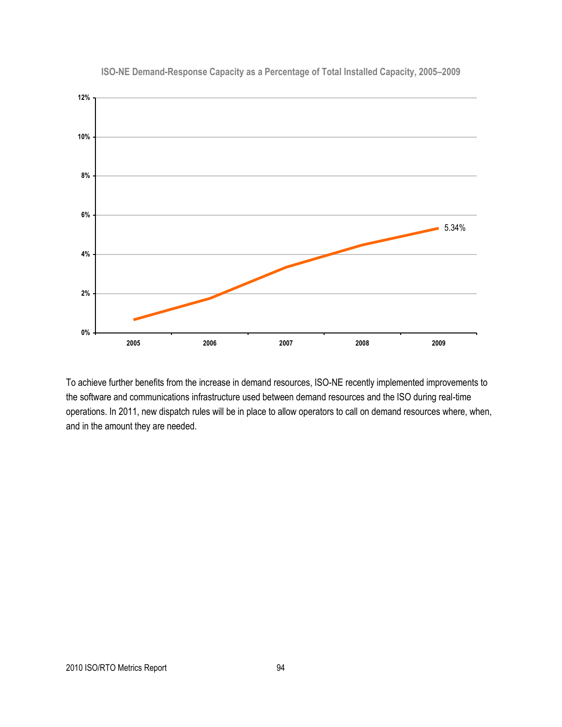

**ISO-NE Demand-Response Capacity as a Percentage of Total Installed Capacity, 2005–2009**

To achieve further benefits from the increase in demand resources, ISO-NE recently implemented improvements to the software and communications infrastructure used between demand resources and the ISO during real-time operations. In 2011, new dispatch rules will be in place to allow operators to call on demand resources where, when, and in the amount they are needed.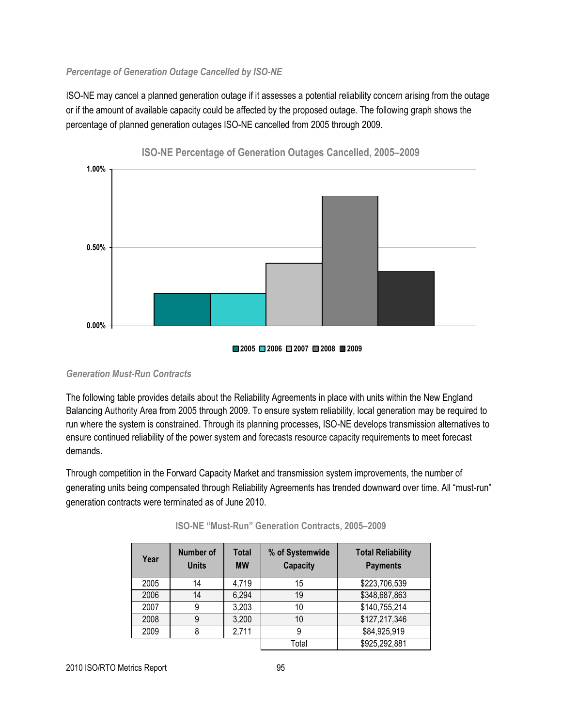#### *Percentage of Generation Outage Cancelled by ISO-NE*

ISO-NE may cancel a planned generation outage if it assesses a potential reliability concern arising from the outage or if the amount of available capacity could be affected by the proposed outage. The following graph shows the percentage of planned generation outages ISO-NE cancelled from 2005 through 2009.



**ISO-NE Percentage of Generation Outages Cancelled, 2005–2009**

#### *Generation Must-Run Contracts*

The following table provides details about the Reliability Agreements in place with units within the New England Balancing Authority Area from 2005 through 2009. To ensure system reliability, local generation may be required to run where the system is constrained. Through its planning processes, ISO-NE develops transmission alternatives to ensure continued reliability of the power system and forecasts resource capacity requirements to meet forecast demands.

Through competition in the Forward Capacity Market and transmission system improvements, the number of generating units being compensated through Reliability Agreements has trended downward over time. All "must-run" generation contracts were terminated as of June 2010.

| Year | <b>Number of</b><br><b>Units</b> | <b>Total</b><br><b>MW</b> | % of Systemwide<br><b>Capacity</b> | <b>Total Reliability</b><br><b>Payments</b> |
|------|----------------------------------|---------------------------|------------------------------------|---------------------------------------------|
| 2005 | 14                               | 4,719                     | 15                                 | \$223,706,539                               |
| 2006 | 14                               | 6,294                     | 19                                 | \$348,687,863                               |
| 2007 | 9                                | 3,203                     | 10                                 | \$140,755,214                               |
| 2008 | 9                                | 3,200                     | 10                                 | \$127,217,346                               |
| 2009 | 8                                | 2,711                     | 9                                  | \$84,925,919                                |
|      |                                  |                           | Total                              | \$925,292,881                               |

| ISO-NE "Must-Run" Generation Contracts, 2005-2009 |  |  |
|---------------------------------------------------|--|--|
|                                                   |  |  |

**<sup>2005</sup> 2006 2007 2008 2009**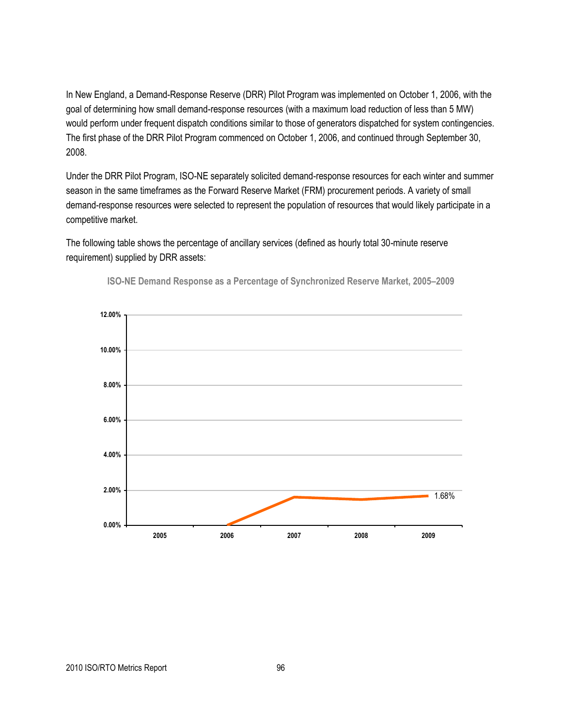In New England, a Demand-Response Reserve (DRR) Pilot Program was implemented on October 1, 2006, with the goal of determining how small demand-response resources (with a maximum load reduction of less than 5 MW) would perform under frequent dispatch conditions similar to those of generators dispatched for system contingencies. The first phase of the DRR Pilot Program commenced on October 1, 2006, and continued through September 30, 2008.

Under the DRR Pilot Program, ISO-NE separately solicited demand-response resources for each winter and summer season in the same timeframes as the Forward Reserve Market (FRM) procurement periods. A variety of small demand-response resources were selected to represent the population of resources that would likely participate in a competitive market.

The following table shows the percentage of ancillary services (defined as hourly total 30-minute reserve requirement) supplied by DRR assets:



**ISO-NE Demand Response as a Percentage of Synchronized Reserve Market, 2005–2009**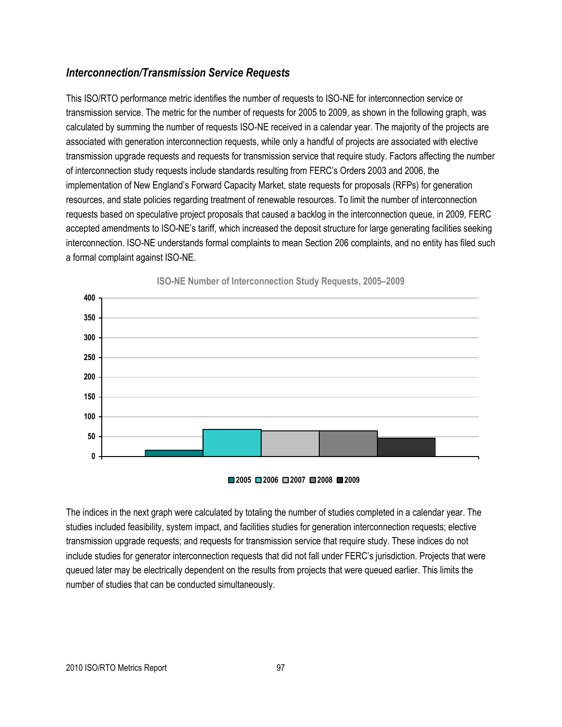## *Interconnection/Transmission Service Requests*

This ISO/RTO performance metric identifies the number of requests to ISO-NE for interconnection service or transmission service. The metric for the number of requests for 2005 to 2009, as shown in the following graph, was calculated by summing the number of requests ISO-NE received in a calendar year. The majority of the projects are associated with generation interconnection requests, while only a handful of projects are associated with elective transmission upgrade requests and requests for transmission service that require study. Factors affecting the number of interconnection study requests include standards resulting from FERC's Orders 2003 and 2006, the implementation of New England's Forward Capacity Market, state requests for proposals (RFPs) for generation resources, and state policies regarding treatment of renewable resources. To limit the number of interconnection requests based on speculative project proposals that caused a backlog in the interconnection queue, in 2009, FERC accepted amendments to ISO-NE's tariff, which increased the deposit structure for large generating facilities seeking interconnection. ISO-NE understands formal complaints to mean Section 206 complaints, and no entity has filed such a formal complaint against ISO-NE.



**ISO-NE Number of Interconnection Study Requests, 2005–2009**

**2005 2006 2007 2008 2009**

The indices in the next graph were calculated by totaling the number of studies completed in a calendar year. The studies included feasibility, system impact, and facilities studies for generation interconnection requests; elective transmission upgrade requests; and requests for transmission service that require study. These indices do not include studies for generator interconnection requests that did not fall under FERC's jurisdiction. Projects that were queued later may be electrically dependent on the results from projects that were queued earlier. This limits the number of studies that can be conducted simultaneously.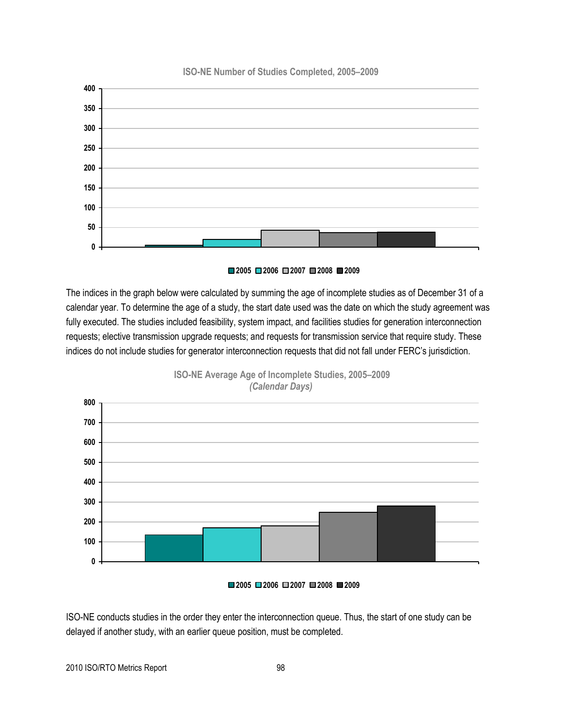#### **ISO-NE Number of Studies Completed, 2005–2009**



#### **2006 2007 2008 2009**

The indices in the graph below were calculated by summing the age of incomplete studies as of December 31 of a calendar year. To determine the age of a study, the start date used was the date on which the study agreement was fully executed. The studies included feasibility, system impact, and facilities studies for generation interconnection requests; elective transmission upgrade requests; and requests for transmission service that require study. These indices do not include studies for generator interconnection requests that did not fall under FERC's jurisdiction.



**ISO-NE Average Age of Incomplete Studies, 2005–2009** *(Calendar Days)*

**2006 2007 2008 2009**

ISO-NE conducts studies in the order they enter the interconnection queue. Thus, the start of one study can be delayed if another study, with an earlier queue position, must be completed.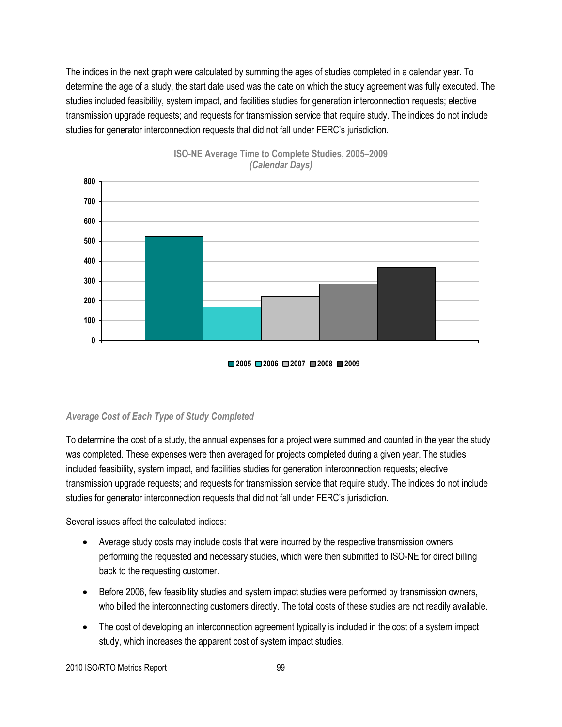The indices in the next graph were calculated by summing the ages of studies completed in a calendar year. To determine the age of a study, the start date used was the date on which the study agreement was fully executed. The studies included feasibility, system impact, and facilities studies for generation interconnection requests; elective transmission upgrade requests; and requests for transmission service that require study. The indices do not include studies for generator interconnection requests that did not fall under FERC's jurisdiction.







#### *Average Cost of Each Type of Study Completed*

To determine the cost of a study, the annual expenses for a project were summed and counted in the year the study was completed. These expenses were then averaged for projects completed during a given year. The studies included feasibility, system impact, and facilities studies for generation interconnection requests; elective transmission upgrade requests; and requests for transmission service that require study. The indices do not include studies for generator interconnection requests that did not fall under FERC's jurisdiction.

Several issues affect the calculated indices:

- Average study costs may include costs that were incurred by the respective transmission owners performing the requested and necessary studies, which were then submitted to ISO-NE for direct billing back to the requesting customer.
- Before 2006, few feasibility studies and system impact studies were performed by transmission owners, who billed the interconnecting customers directly. The total costs of these studies are not readily available.
- The cost of developing an interconnection agreement typically is included in the cost of a system impact study, which increases the apparent cost of system impact studies.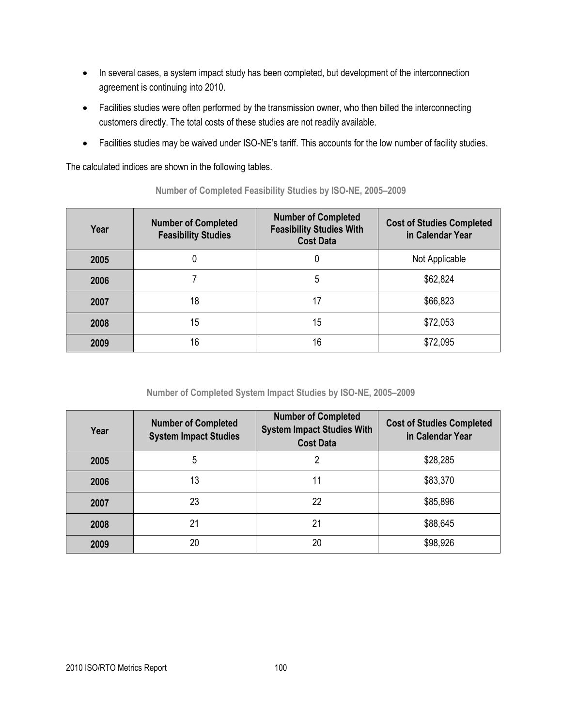- In several cases, a system impact study has been completed, but development of the interconnection agreement is continuing into 2010.
- Facilities studies were often performed by the transmission owner, who then billed the interconnecting customers directly. The total costs of these studies are not readily available.
- Facilities studies may be waived under ISO-NE's tariff. This accounts for the low number of facility studies.

The calculated indices are shown in the following tables.

| Year | <b>Number of Completed</b><br><b>Feasibility Studies</b> | <b>Number of Completed</b><br><b>Feasibility Studies With</b><br><b>Cost Data</b> | <b>Cost of Studies Completed</b><br>in Calendar Year |
|------|----------------------------------------------------------|-----------------------------------------------------------------------------------|------------------------------------------------------|
| 2005 | U                                                        |                                                                                   | Not Applicable                                       |
| 2006 |                                                          | 5                                                                                 | \$62,824                                             |
| 2007 | 18                                                       | 17                                                                                | \$66,823                                             |
| 2008 | 15                                                       | 15                                                                                | \$72,053                                             |
| 2009 | 16                                                       | 16                                                                                | \$72.095                                             |

**Number of Completed Feasibility Studies by ISO-NE, 2005–2009**

**Number of Completed System Impact Studies by ISO-NE, 2005–2009**

| Year | <b>Number of Completed</b><br><b>System Impact Studies</b> | <b>Number of Completed</b><br><b>System Impact Studies With</b><br><b>Cost Data</b> | <b>Cost of Studies Completed</b><br>in Calendar Year |
|------|------------------------------------------------------------|-------------------------------------------------------------------------------------|------------------------------------------------------|
| 2005 | 5                                                          |                                                                                     | \$28,285                                             |
| 2006 | 13                                                         | 11                                                                                  | \$83,370                                             |
| 2007 | 23                                                         | 22                                                                                  | \$85,896                                             |
| 2008 | 21                                                         | 21                                                                                  | \$88,645                                             |
| 2009 | 20                                                         | 20                                                                                  | \$98,926                                             |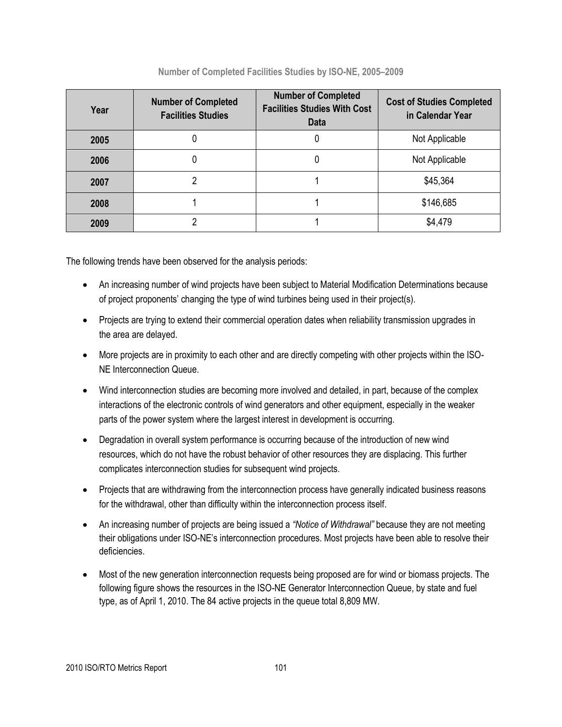| Year | <b>Number of Completed</b><br><b>Facilities Studies</b> | <b>Number of Completed</b><br><b>Facilities Studies With Cost</b><br>Data | <b>Cost of Studies Completed</b><br>in Calendar Year |
|------|---------------------------------------------------------|---------------------------------------------------------------------------|------------------------------------------------------|
| 2005 |                                                         |                                                                           | Not Applicable                                       |
| 2006 |                                                         |                                                                           | Not Applicable                                       |
| 2007 |                                                         |                                                                           | \$45,364                                             |
| 2008 |                                                         |                                                                           | \$146,685                                            |
| 2009 |                                                         |                                                                           | \$4,479                                              |

**Number of Completed Facilities Studies by ISO-NE, 2005–2009**

The following trends have been observed for the analysis periods:

- An increasing number of wind projects have been subject to Material Modification Determinations because of project proponents' changing the type of wind turbines being used in their project(s).
- Projects are trying to extend their commercial operation dates when reliability transmission upgrades in the area are delayed.
- More projects are in proximity to each other and are directly competing with other projects within the ISO-NE Interconnection Queue.
- Wind interconnection studies are becoming more involved and detailed, in part, because of the complex interactions of the electronic controls of wind generators and other equipment, especially in the weaker parts of the power system where the largest interest in development is occurring.
- Degradation in overall system performance is occurring because of the introduction of new wind resources, which do not have the robust behavior of other resources they are displacing. This further complicates interconnection studies for subsequent wind projects.
- Projects that are withdrawing from the interconnection process have generally indicated business reasons for the withdrawal, other than difficulty within the interconnection process itself.
- An increasing number of projects are being issued a *"Notice of Withdrawal"* because they are not meeting their obligations under ISO-NE's interconnection procedures. Most projects have been able to resolve their deficiencies.
- Most of the new generation interconnection requests being proposed are for wind or biomass projects. The following figure shows the resources in the ISO-NE Generator Interconnection Queue, by state and fuel type, as of April 1, 2010. The 84 active projects in the queue total 8,809 MW.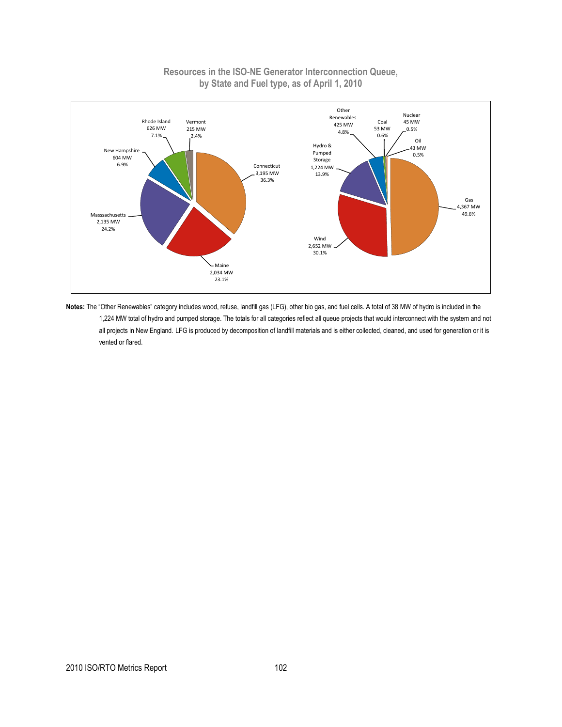#### **Resources in the ISO-NE Generator Interconnection Queue, by State and Fuel type, as of April 1, 2010**



Notes: The "Other Renewables" category includes wood, refuse, landfill gas (LFG), other bio gas, and fuel cells. A total of 38 MW of hydro is included in the 1,224 MW total of hydro and pumped storage. The totals for all categories reflect all queue projects that would interconnect with the system and not all projects in New England. LFG is produced by decomposition of landfill materials and is either collected, cleaned, and used for generation or it is vented or flared.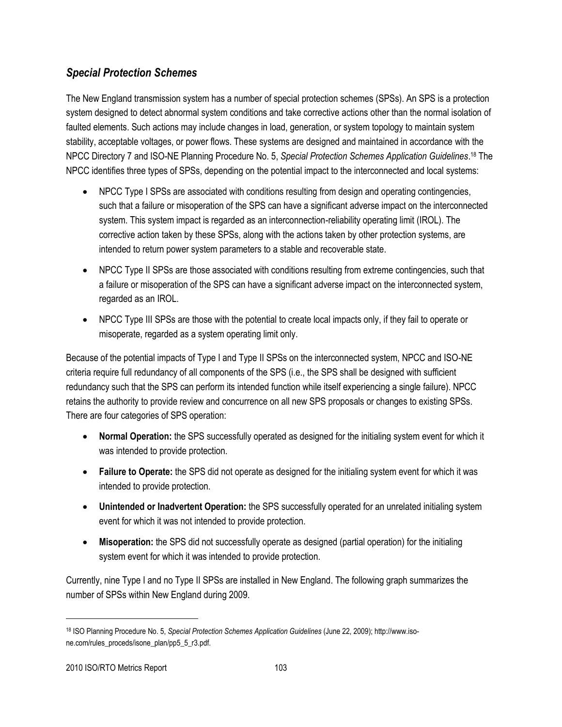## *Special Protection Schemes*

The New England transmission system has a number of special protection schemes (SPSs). An SPS is a protection system designed to detect abnormal system conditions and take corrective actions other than the normal isolation of faulted elements. Such actions may include changes in load, generation, or system topology to maintain system stability, acceptable voltages, or power flows. These systems are designed and maintained in accordance with the NPCC Directory 7 and ISO-NE Planning Procedure No. 5, *Special Protection Schemes Application Guidelines*. <sup>18</sup> The NPCC identifies three types of SPSs, depending on the potential impact to the interconnected and local systems:

- NPCC Type I SPSs are associated with conditions resulting from design and operating contingencies, such that a failure or misoperation of the SPS can have a significant adverse impact on the interconnected system. This system impact is regarded as an interconnection-reliability operating limit (IROL). The corrective action taken by these SPSs, along with the actions taken by other protection systems, are intended to return power system parameters to a stable and recoverable state.
- NPCC Type II SPSs are those associated with conditions resulting from extreme contingencies, such that a failure or misoperation of the SPS can have a significant adverse impact on the interconnected system, regarded as an IROL.
- NPCC Type III SPSs are those with the potential to create local impacts only, if they fail to operate or misoperate, regarded as a system operating limit only.

Because of the potential impacts of Type I and Type II SPSs on the interconnected system, NPCC and ISO-NE criteria require full redundancy of all components of the SPS (i.e., the SPS shall be designed with sufficient redundancy such that the SPS can perform its intended function while itself experiencing a single failure). NPCC retains the authority to provide review and concurrence on all new SPS proposals or changes to existing SPSs. There are four categories of SPS operation:

- **Normal Operation:** the SPS successfully operated as designed for the initialing system event for which it was intended to provide protection.
- **Failure to Operate:** the SPS did not operate as designed for the initialing system event for which it was intended to provide protection.
- **Unintended or Inadvertent Operation:** the SPS successfully operated for an unrelated initialing system event for which it was not intended to provide protection.
- **Misoperation:** the SPS did not successfully operate as designed (partial operation) for the initialing system event for which it was intended to provide protection.

Currently, nine Type I and no Type II SPSs are installed in New England. The following graph summarizes the number of SPSs within New England during 2009.

<sup>18</sup> ISO Planning Procedure No. 5, *Special Protection Schemes Application Guidelines* (June 22, 2009); http://www.isone.com/rules\_proceds/isone\_plan/pp5\_5\_r3.pdf.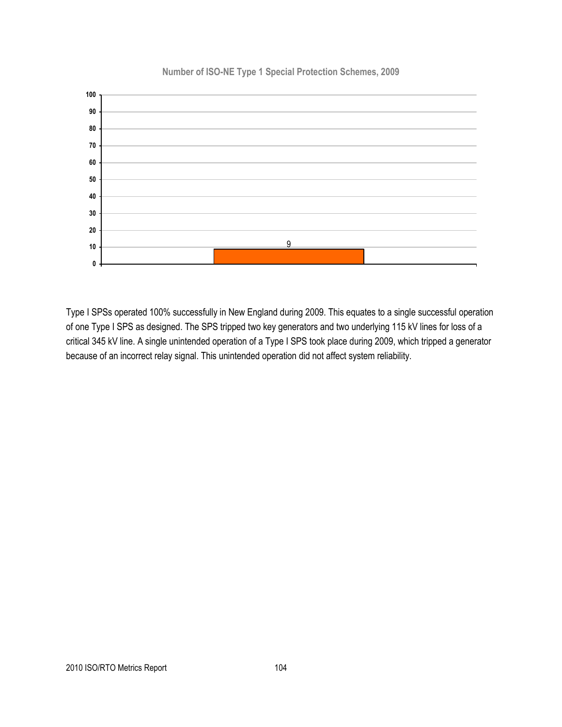

**Number of ISO-NE Type 1 Special Protection Schemes, 2009**

Type I SPSs operated 100% successfully in New England during 2009. This equates to a single successful operation of one Type I SPS as designed. The SPS tripped two key generators and two underlying 115 kV lines for loss of a critical 345 kV line. A single unintended operation of a Type I SPS took place during 2009, which tripped a generator because of an incorrect relay signal. This unintended operation did not affect system reliability.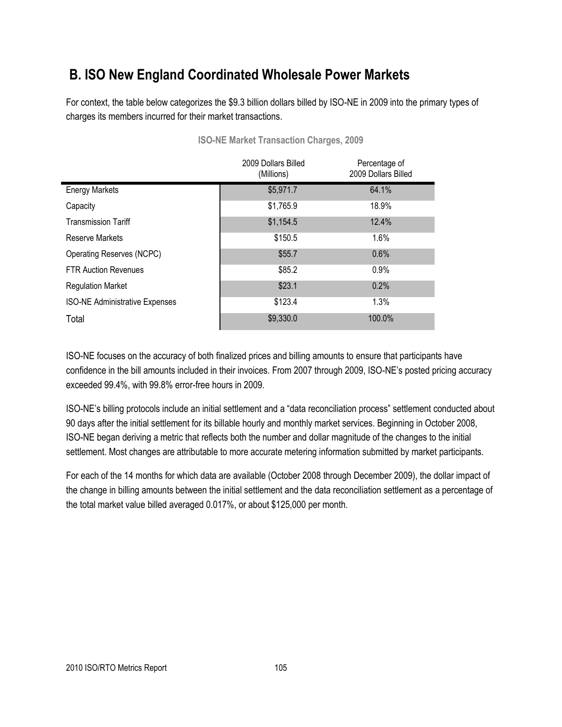## **B. ISO New England Coordinated Wholesale Power Markets**

For context, the table below categorizes the \$9.3 billion dollars billed by ISO-NE in 2009 into the primary types of charges its members incurred for their market transactions.

|                                       | 2009 Dollars Billed<br>(Millions) | Percentage of<br>2009 Dollars Billed |
|---------------------------------------|-----------------------------------|--------------------------------------|
| <b>Energy Markets</b>                 | \$5,971.7                         | 64.1%                                |
| Capacity                              | \$1,765.9                         | 18.9%                                |
| <b>Transmission Tariff</b>            | \$1,154.5                         | 12.4%                                |
| Reserve Markets                       | \$150.5                           | 1.6%                                 |
| Operating Reserves (NCPC)             | \$55.7                            | 0.6%                                 |
| <b>FTR Auction Revenues</b>           | \$85.2                            | 0.9%                                 |
| <b>Regulation Market</b>              | \$23.1                            | 0.2%                                 |
| <b>ISO-NE Administrative Expenses</b> | \$123.4                           | 1.3%                                 |
| Total                                 | \$9,330.0                         | 100.0%                               |

**ISO-NE Market Transaction Charges, 2009**

ISO-NE focuses on the accuracy of both finalized prices and billing amounts to ensure that participants have confidence in the bill amounts included in their invoices. From 2007 through 2009, ISO-NE's posted pricing accuracy exceeded 99.4%, with 99.8% error-free hours in 2009.

ISO-NE's billing protocols include an initial settlement and a "data reconciliation process" settlement conducted about 90 days after the initial settlement for its billable hourly and monthly market services. Beginning in October 2008, ISO-NE began deriving a metric that reflects both the number and dollar magnitude of the changes to the initial settlement. Most changes are attributable to more accurate metering information submitted by market participants.

For each of the 14 months for which data are available (October 2008 through December 2009), the dollar impact of the change in billing amounts between the initial settlement and the data reconciliation settlement as a percentage of the total market value billed averaged 0.017%, or about \$125,000 per month.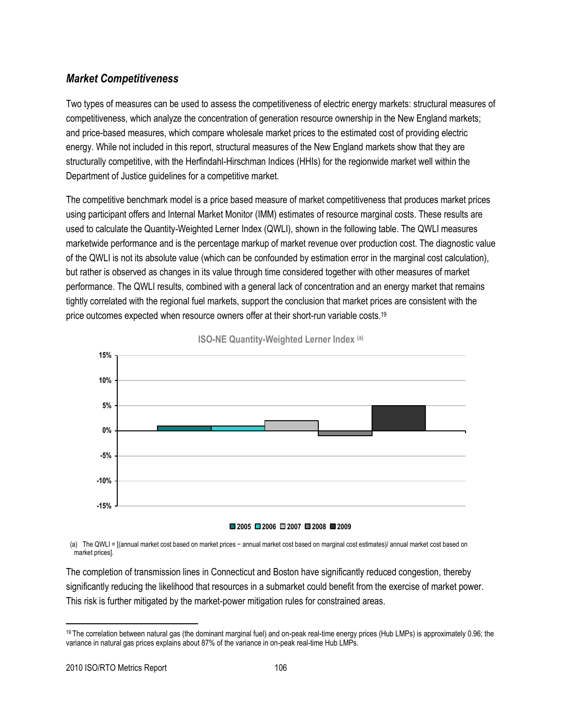## *Market Competitiveness*

Two types of measures can be used to assess the competitiveness of electric energy markets: structural measures of competitiveness, which analyze the concentration of generation resource ownership in the New England markets; and price-based measures, which compare wholesale market prices to the estimated cost of providing electric energy. While not included in this report, structural measures of the New England markets show that they are structurally competitive, with the Herfindahl-Hirschman Indices (HHIs) for the regionwide market well within the Department of Justice guidelines for a competitive market.

The competitive benchmark model is a price based measure of market competitiveness that produces market prices using participant offers and Internal Market Monitor (IMM) estimates of resource marginal costs. These results are used to calculate the Quantity-Weighted Lerner Index (QWLI), shown in the following table. The QWLI measures marketwide performance and is the percentage markup of market revenue over production cost. The diagnostic value of the QWLI is not its absolute value (which can be confounded by estimation error in the marginal cost calculation), but rather is observed as changes in its value through time considered together with other measures of market performance. The QWLI results, combined with a general lack of concentration and an energy market that remains tightly correlated with the regional fuel markets, support the conclusion that market prices are consistent with the price outcomes expected when resource owners offer at their short-run variable costs.<sup>19</sup>



**ISO-NE Quantity-Weighted Lerner Index (a)**

#### **2005 2006 2007 2008 2009**

(a) The QWLI = [(annual market cost based on market prices − annual market cost based on marginal cost estimates)/ annual market cost based on market prices].

The completion of transmission lines in Connecticut and Boston have significantly reduced congestion, thereby significantly reducing the likelihood that resources in a submarket could benefit from the exercise of market power. This risk is further mitigated by the market-power mitigation rules for constrained areas.

<sup>19</sup> The correlation between natural gas (the dominant marginal fuel) and on-peak real-time energy prices (Hub LMPs) is approximately 0.96; the variance in natural gas prices explains about 87% of the variance in on-peak real-time Hub LMPs.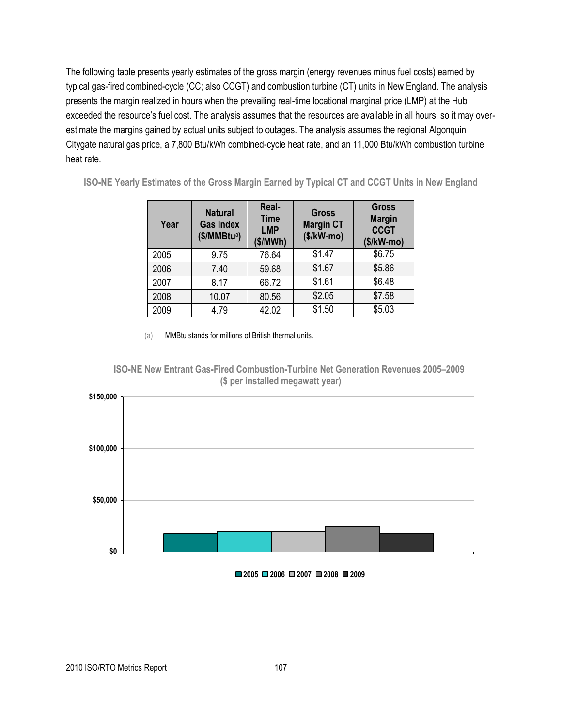The following table presents yearly estimates of the gross margin (energy revenues minus fuel costs) earned by typical gas-fired combined-cycle (CC; also CCGT) and combustion turbine (CT) units in New England. The analysis presents the margin realized in hours when the prevailing real-time locational marginal price (LMP) at the Hub exceeded the resource's fuel cost. The analysis assumes that the resources are available in all hours, so it may overestimate the margins gained by actual units subject to outages. The analysis assumes the regional Algonquin Citygate natural gas price, a 7,800 Btu/kWh combined-cycle heat rate, and an 11,000 Btu/kWh combustion turbine heat rate.

**ISO-NE Yearly Estimates of the Gross Margin Earned by Typical CT and CCGT Units in New England**

| Year | <b>Natural</b><br><b>Gas Index</b><br>$($/MMBtu^a)$ | Real-<br><b>Time</b><br><b>LMP</b><br>\$/MWh) | <b>Gross</b><br><b>Margin CT</b><br>$($/kW$ -mo $)$ | <b>Gross</b><br><b>Margin</b><br><b>CCGT</b><br>$($/kW$ -mo $)$ |
|------|-----------------------------------------------------|-----------------------------------------------|-----------------------------------------------------|-----------------------------------------------------------------|
| 2005 | 9.75                                                | 76.64                                         | \$1.47                                              | \$6.75                                                          |
| 2006 | 7.40                                                | 59.68                                         | \$1.67                                              | \$5.86                                                          |
| 2007 | 8.17                                                | 66.72                                         | \$1.61                                              | \$6.48                                                          |
| 2008 | 10.07                                               | 80.56                                         | \$2.05                                              | \$7.58                                                          |
| 2009 | 4.79                                                | 42.02                                         | \$1.50                                              | \$5.03                                                          |

(a) MMBtu stands for millions of British thermal units.





**2005 2006 2007 2008 2009**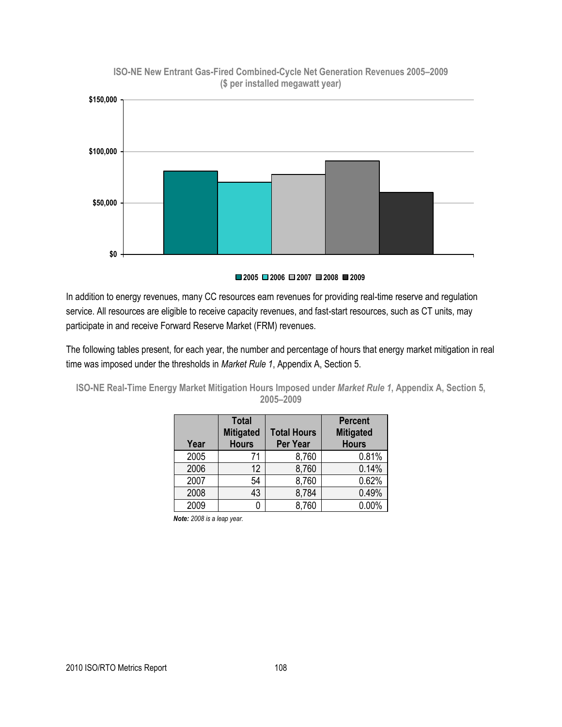

**ISO-NE New Entrant Gas-Fired Combined-Cycle Net Generation Revenues 2005–2009 (\$ per installed megawatt year)**

**2005 2006 2007 2008 2009**

In addition to energy revenues, many CC resources earn revenues for providing real-time reserve and regulation service. All resources are eligible to receive capacity revenues, and fast-start resources, such as CT units, may participate in and receive Forward Reserve Market (FRM) revenues.

The following tables present, for each year, the number and percentage of hours that energy market mitigation in real time was imposed under the thresholds in *Market Rule 1*, Appendix A, Section 5.

**ISO-NE Real-Time Energy Market Mitigation Hours Imposed under** *Market Rule 1***, Appendix A, Section 5, 2005–2009**

| Year | <b>Total</b><br><b>Mitigated</b><br><b>Hours</b> | <b>Total Hours</b><br>Per Year | <b>Percent</b><br><b>Mitigated</b><br><b>Hours</b> |
|------|--------------------------------------------------|--------------------------------|----------------------------------------------------|
| 2005 | 71                                               | 8,760                          | 0.81%                                              |
| 2006 | 12                                               | 8,760                          | 0.14%                                              |
| 2007 | 54                                               | 8,760                          | 0.62%                                              |
| 2008 | 43                                               | 8,784                          | 0.49%                                              |
| 2009 |                                                  | 8,760                          | 0.00%                                              |

*Note: 2008 is a leap year.*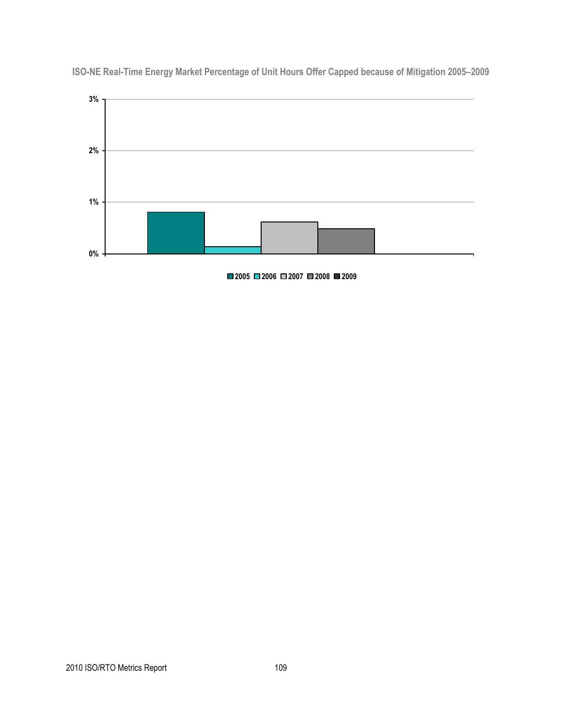

**ISO-NE Real-Time Energy Market Percentage of Unit Hours Offer Capped because of Mitigation 2005–2009**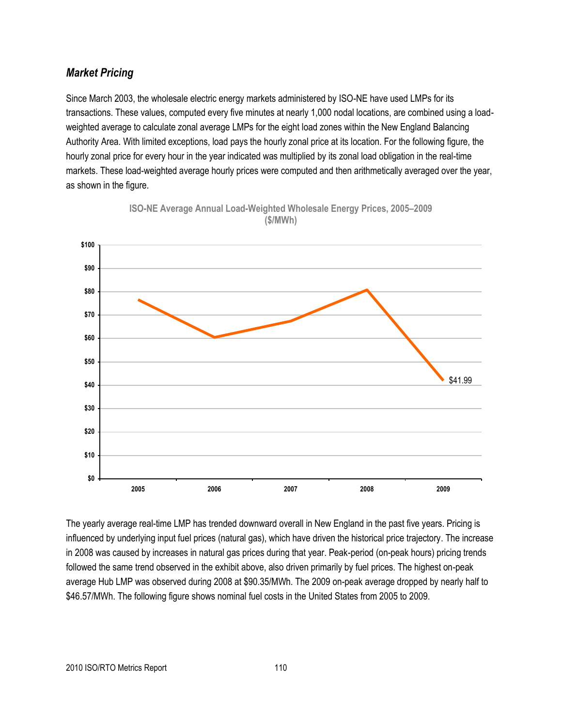## *Market Pricing*

Since March 2003, the wholesale electric energy markets administered by ISO-NE have used LMPs for its transactions. These values, computed every five minutes at nearly 1,000 nodal locations, are combined using a loadweighted average to calculate zonal average LMPs for the eight load zones within the New England Balancing Authority Area. With limited exceptions, load pays the hourly zonal price at its location. For the following figure, the hourly zonal price for every hour in the year indicated was multiplied by its zonal load obligation in the real-time markets. These load-weighted average hourly prices were computed and then arithmetically averaged over the year, as shown in the figure.





The yearly average real-time LMP has trended downward overall in New England in the past five years. Pricing is influenced by underlying input fuel prices (natural gas), which have driven the historical price trajectory. The increase in 2008 was caused by increases in natural gas prices during that year. Peak-period (on-peak hours) pricing trends followed the same trend observed in the exhibit above, also driven primarily by fuel prices. The highest on-peak average Hub LMP was observed during 2008 at \$90.35/MWh. The 2009 on-peak average dropped by nearly half to \$46.57/MWh. The following figure shows nominal fuel costs in the United States from 2005 to 2009.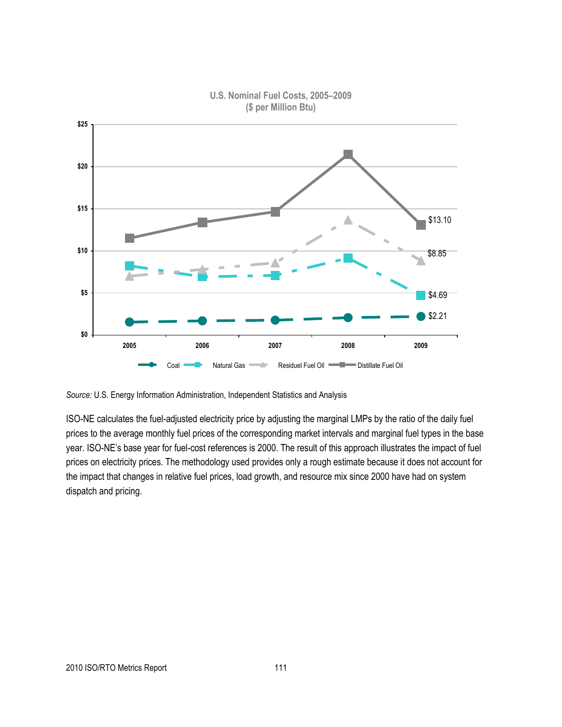

#### **U.S. Nominal Fuel Costs, 2005–2009 (\$ per Million Btu)**

*Source:* U.S. Energy Information Administration, Independent Statistics and Analysis

ISO-NE calculates the fuel-adjusted electricity price by adjusting the marginal LMPs by the ratio of the daily fuel prices to the average monthly fuel prices of the corresponding market intervals and marginal fuel types in the base year. ISO-NE's base year for fuel-cost references is 2000. The result of this approach illustrates the impact of fuel prices on electricity prices. The methodology used provides only a rough estimate because it does not account for the impact that changes in relative fuel prices, load growth, and resource mix since 2000 have had on system dispatch and pricing.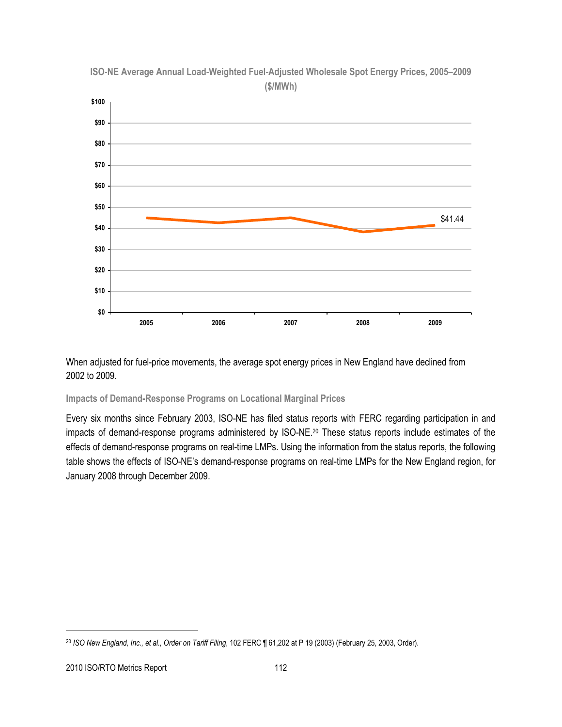

**ISO-NE Average Annual Load-Weighted Fuel-Adjusted Wholesale Spot Energy Prices, 2005–2009 (\$/MWh)**

When adjusted for fuel-price movements, the average spot energy prices in New England have declined from 2002 to 2009.

**Impacts of Demand-Response Programs on Locational Marginal Prices**

Every six months since February 2003, ISO-NE has filed status reports with FERC regarding participation in and impacts of demand-response programs administered by ISO-NE.<sup>20</sup> These status reports include estimates of the effects of demand-response programs on real-time LMPs. Using the information from the status reports, the following table shows the effects of ISO-NE's demand-response programs on real-time LMPs for the New England region, for January 2008 through December 2009.

 $\overline{a}$ 

<sup>20</sup> *ISO New England, Inc., et al., Order on Tariff Filing*, 102 FERC ¶ 61,202 at P 19 (2003) (February 25, 2003, Order).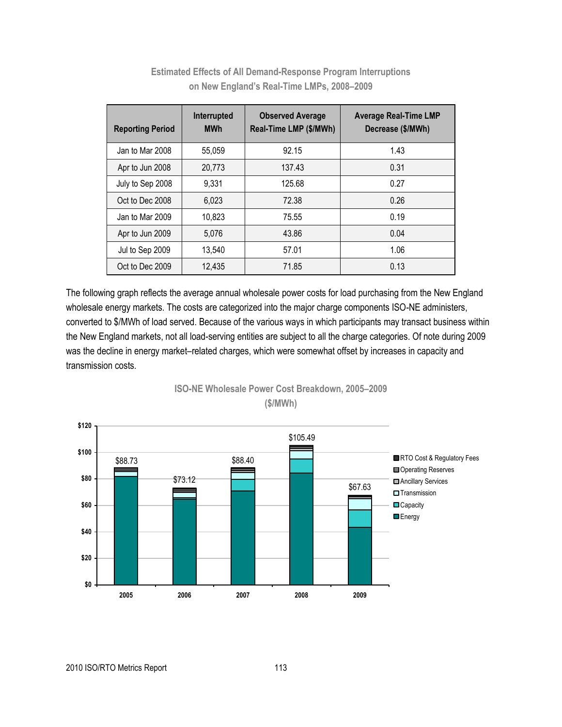| <b>Reporting Period</b> | Interrupted<br><b>MWh</b> | <b>Observed Average</b><br>Real-Time LMP (\$/MWh) | <b>Average Real-Time LMP</b><br>Decrease (\$/MWh) |
|-------------------------|---------------------------|---------------------------------------------------|---------------------------------------------------|
| Jan to Mar 2008         | 55.059                    | 92.15                                             | 1.43                                              |
| Apr to Jun 2008         | 20.773                    | 137.43                                            | 0.31                                              |
| July to Sep 2008        | 9,331                     | 125.68                                            | 0.27                                              |
| Oct to Dec 2008         | 6.023                     | 72.38                                             | 0.26                                              |
| Jan to Mar 2009         | 10,823                    | 75.55                                             | 0.19                                              |
| Apr to Jun 2009         | 5.076                     | 43.86                                             | 0.04                                              |
| Jul to Sep 2009         | 13,540                    | 57.01                                             | 1.06                                              |
| Oct to Dec 2009         | 12,435                    | 71.85                                             | 0.13                                              |

**Estimated Effects of All Demand-Response Program Interruptions on New England's Real-Time LMPs, 2008–2009**

The following graph reflects the average annual wholesale power costs for load purchasing from the New England wholesale energy markets. The costs are categorized into the major charge components ISO-NE administers, converted to \$/MWh of load served. Because of the various ways in which participants may transact business within the New England markets, not all load-serving entities are subject to all the charge categories. Of note during 2009 was the decline in energy market–related charges, which were somewhat offset by increases in capacity and transmission costs.



**ISO-NE Wholesale Power Cost Breakdown, 2005–2009 (\$/MWh)**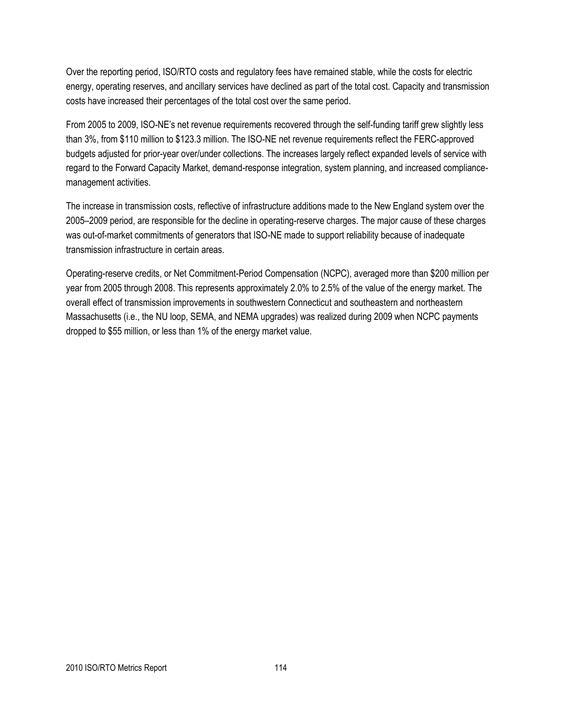Over the reporting period, ISO/RTO costs and regulatory fees have remained stable, while the costs for electric energy, operating reserves, and ancillary services have declined as part of the total cost. Capacity and transmission costs have increased their percentages of the total cost over the same period.

From 2005 to 2009, ISO-NE's net revenue requirements recovered through the self-funding tariff grew slightly less than 3%, from \$110 million to \$123.3 million. The ISO-NE net revenue requirements reflect the FERC-approved budgets adjusted for prior-year over/under collections. The increases largely reflect expanded levels of service with regard to the Forward Capacity Market, demand-response integration, system planning, and increased compliancemanagement activities.

The increase in transmission costs, reflective of infrastructure additions made to the New England system over the 2005–2009 period, are responsible for the decline in operating-reserve charges. The major cause of these charges was out-of-market commitments of generators that ISO-NE made to support reliability because of inadequate transmission infrastructure in certain areas.

Operating-reserve credits, or Net Commitment-Period Compensation (NCPC), averaged more than \$200 million per year from 2005 through 2008. This represents approximately 2.0% to 2.5% of the value of the energy market. The overall effect of transmission improvements in southwestern Connecticut and southeastern and northeastern Massachusetts (i.e., the NU loop, SEMA, and NEMA upgrades) was realized during 2009 when NCPC payments dropped to \$55 million, or less than 1% of the energy market value.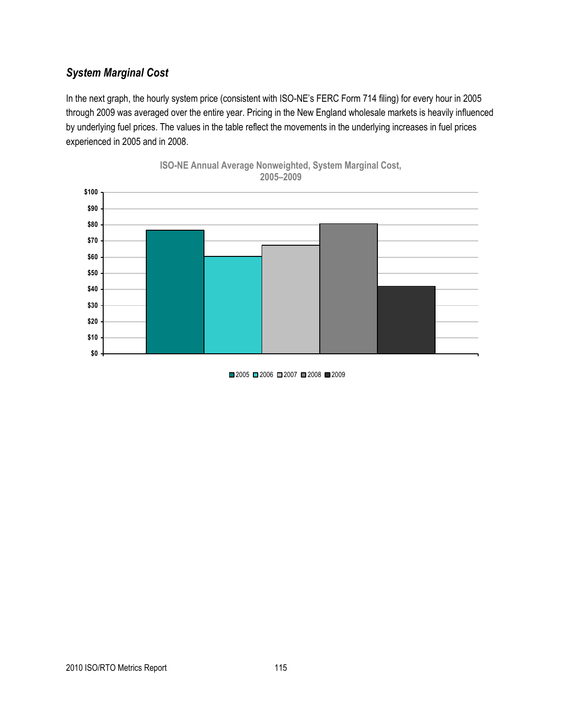## *System Marginal Cost*

In the next graph, the hourly system price (consistent with ISO-NE's FERC Form 714 filing) for every hour in 2005 through 2009 was averaged over the entire year. Pricing in the New England wholesale markets is heavily influenced by underlying fuel prices. The values in the table reflect the movements in the underlying increases in fuel prices experienced in 2005 and in 2008.





■2005 ■2006 ■2007 ■2008 ■2009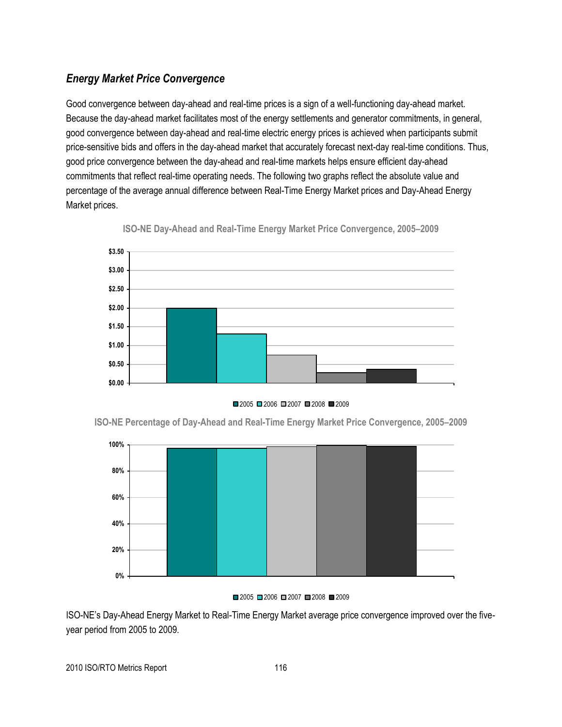## *Energy Market Price Convergence*

Good convergence between day-ahead and real-time prices is a sign of a well-functioning day-ahead market. Because the day-ahead market facilitates most of the energy settlements and generator commitments, in general, good convergence between day-ahead and real-time electric energy prices is achieved when participants submit price-sensitive bids and offers in the day-ahead market that accurately forecast next-day real-time conditions. Thus, good price convergence between the day-ahead and real-time markets helps ensure efficient day-ahead commitments that reflect real-time operating needs. The following two graphs reflect the absolute value and percentage of the average annual difference between Real-Time Energy Market prices and Day-Ahead Energy Market prices.



**ISO-NE Day-Ahead and Real-Time Energy Market Price Convergence, 2005–2009**



**ISO-NE Percentage of Day-Ahead and Real-Time Energy Market Price Convergence, 2005–2009**



#### ■2005 ■2006 ■2007 ■2008 ■2009

ISO-NE's Day-Ahead Energy Market to Real-Time Energy Market average price convergence improved over the fiveyear period from 2005 to 2009.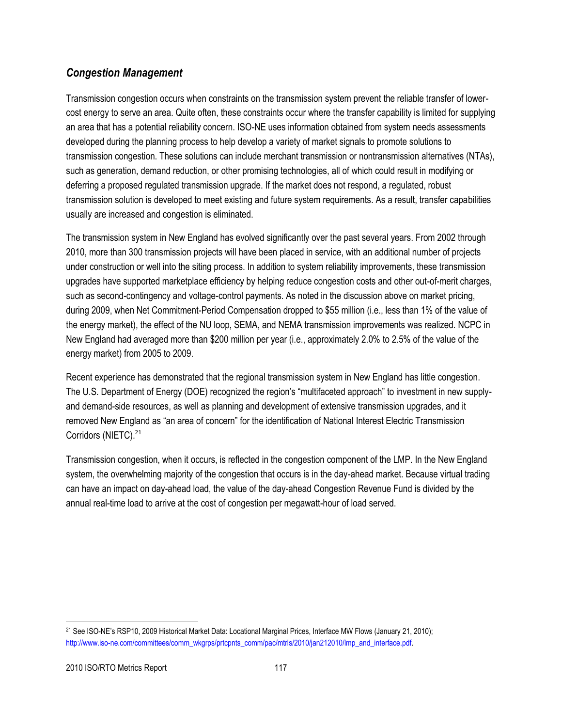## *Congestion Management*

Transmission congestion occurs when constraints on the transmission system prevent the reliable transfer of lowercost energy to serve an area. Quite often, these constraints occur where the transfer capability is limited for supplying an area that has a potential reliability concern. ISO-NE uses information obtained from system needs assessments developed during the planning process to help develop a variety of market signals to promote solutions to transmission congestion. These solutions can include merchant transmission or nontransmission alternatives (NTAs), such as generation, demand reduction, or other promising technologies, all of which could result in modifying or deferring a proposed regulated transmission upgrade. If the market does not respond, a regulated, robust transmission solution is developed to meet existing and future system requirements. As a result, transfer capabilities usually are increased and congestion is eliminated.

The transmission system in New England has evolved significantly over the past several years. From 2002 through 2010, more than 300 transmission projects will have been placed in service, with an additional number of projects under construction or well into the siting process. In addition to system reliability improvements, these transmission upgrades have supported marketplace efficiency by helping reduce congestion costs and other out-of-merit charges, such as second-contingency and voltage-control payments. As noted in the discussion above on market pricing, during 2009, when Net Commitment-Period Compensation dropped to \$55 million (i.e., less than 1% of the value of the energy market), the effect of the NU loop, SEMA, and NEMA transmission improvements was realized. NCPC in New England had averaged more than \$200 million per year (i.e., approximately 2.0% to 2.5% of the value of the energy market) from 2005 to 2009.

Recent experience has demonstrated that the regional transmission system in New England has little congestion. The U.S. Department of Energy (DOE) recognized the region's "multifaceted approach" to investment in new supplyand demand-side resources, as well as planning and development of extensive transmission upgrades, and it removed New England as "an area of concern" for the identification of National Interest Electric Transmission Corridors (NIETC).<sup>21</sup>

Transmission congestion, when it occurs, is reflected in the congestion component of the LMP. In the New England system, the overwhelming majority of the congestion that occurs is in the day-ahead market. Because virtual trading can have an impact on day-ahead load, the value of the day-ahead Congestion Revenue Fund is divided by the annual real-time load to arrive at the cost of congestion per megawatt-hour of load served.

 $\overline{\phantom{a}}$ <sup>21</sup> See ISO-NE's RSP10, 2009 Historical Market Data: Locational Marginal Prices, Interface MW Flows (January 21, 2010); [http://www.iso-ne.com/committees/comm\\_wkgrps/prtcpnts\\_comm/pac/mtrls/2010/jan212010/lmp\\_and\\_interface.pdf.](http://www.iso-ne.com/committees/comm_wkgrps/prtcpnts_comm/pac/mtrls/2010/jan212010/lmp_and_interface.pdf)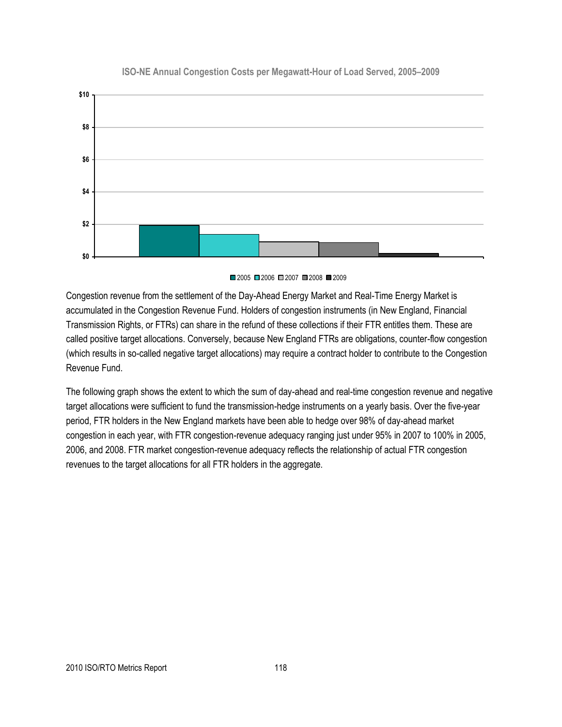

#### **ISO-NE Annual Congestion Costs per Megawatt-Hour of Load Served, 2005–2009**



Congestion revenue from the settlement of the Day-Ahead Energy Market and Real-Time Energy Market is accumulated in the Congestion Revenue Fund. Holders of congestion instruments (in New England, Financial Transmission Rights, or FTRs) can share in the refund of these collections if their FTR entitles them. These are called positive target allocations. Conversely, because New England FTRs are obligations, counter-flow congestion (which results in so-called negative target allocations) may require a contract holder to contribute to the Congestion Revenue Fund.

The following graph shows the extent to which the sum of day-ahead and real-time congestion revenue and negative target allocations were sufficient to fund the transmission-hedge instruments on a yearly basis. Over the five-year period, FTR holders in the New England markets have been able to hedge over 98% of day-ahead market congestion in each year, with FTR congestion-revenue adequacy ranging just under 95% in 2007 to 100% in 2005, 2006, and 2008. FTR market congestion-revenue adequacy reflects the relationship of actual FTR congestion revenues to the target allocations for all FTR holders in the aggregate.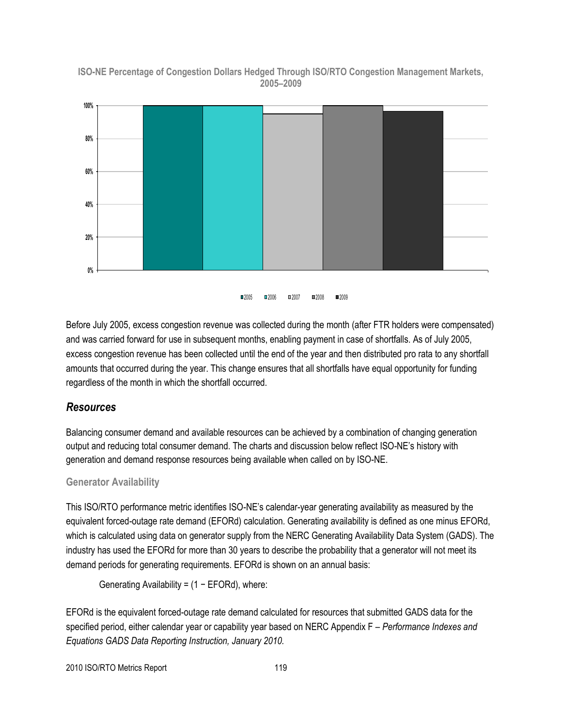**ISO-NE Percentage of Congestion Dollars Hedged Through ISO/RTO Congestion Management Markets, 2005–2009**



**2005 2006 2007 2008 2009** 

Before July 2005, excess congestion revenue was collected during the month (after FTR holders were compensated) and was carried forward for use in subsequent months, enabling payment in case of shortfalls. As of July 2005, excess congestion revenue has been collected until the end of the year and then distributed pro rata to any shortfall amounts that occurred during the year. This change ensures that all shortfalls have equal opportunity for funding regardless of the month in which the shortfall occurred.

#### *Resources*

Balancing consumer demand and available resources can be achieved by a combination of changing generation output and reducing total consumer demand. The charts and discussion below reflect ISO-NE's history with generation and demand response resources being available when called on by ISO-NE.

#### **Generator Availability**

This ISO/RTO performance metric identifies ISO-NE's calendar-year generating availability as measured by the equivalent forced-outage rate demand (EFORd) calculation. Generating availability is defined as one minus EFORd, which is calculated using data on generator supply from the NERC Generating Availability Data System (GADS). The industry has used the EFORd for more than 30 years to describe the probability that a generator will not meet its demand periods for generating requirements. EFORd is shown on an annual basis:

Generating Availability = (1 − EFORd), where:

EFORd is the equivalent forced-outage rate demand calculated for resources that submitted GADS data for the specified period, either calendar year or capability year based on NERC Appendix F – *Performance Indexes and Equations GADS Data Reporting Instruction, January 2010.*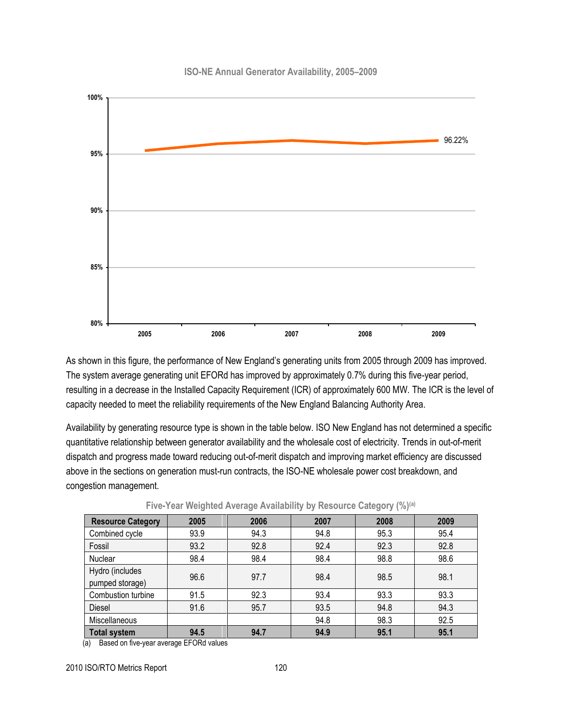#### **ISO-NE Annual Generator Availability, 2005–2009**



As shown in this figure, the performance of New England's generating units from 2005 through 2009 has improved. The system average generating unit EFORd has improved by approximately 0.7% during this five-year period, resulting in a decrease in the Installed Capacity Requirement (ICR) of approximately 600 MW. The ICR is the level of capacity needed to meet the reliability requirements of the New England Balancing Authority Area.

Availability by generating resource type is shown in the table below. ISO New England has not determined a specific quantitative relationship between generator availability and the wholesale cost of electricity. Trends in out-of-merit dispatch and progress made toward reducing out-of-merit dispatch and improving market efficiency are discussed above in the sections on generation must-run contracts, the ISO-NE wholesale power cost breakdown, and congestion management.

| <b>Resource Category</b> | 2005 | 2006 | 2007 | 2008 | 2009 |
|--------------------------|------|------|------|------|------|
| Combined cycle           | 93.9 | 94.3 | 94.8 | 95.3 | 95.4 |
| Fossil                   | 93.2 | 92.8 | 92.4 | 92.3 | 92.8 |
| Nuclear                  | 98.4 | 98.4 | 98.4 | 98.8 | 98.6 |
| Hydro (includes          | 96.6 | 97.7 | 98.4 | 98.5 | 98.1 |
| pumped storage)          |      |      |      |      |      |
| Combustion turbine       | 91.5 | 92.3 | 93.4 | 93.3 | 93.3 |
| <b>Diesel</b>            | 91.6 | 95.7 | 93.5 | 94.8 | 94.3 |
| <b>Miscellaneous</b>     |      |      | 94.8 | 98.3 | 92.5 |
| <b>Total system</b>      | 94.5 | 94.7 | 94.9 | 95.1 | 95.1 |

**Five-Year Weighted Average Availability by Resource Category (%)(a)**

(a) Based on five-year average EFORd values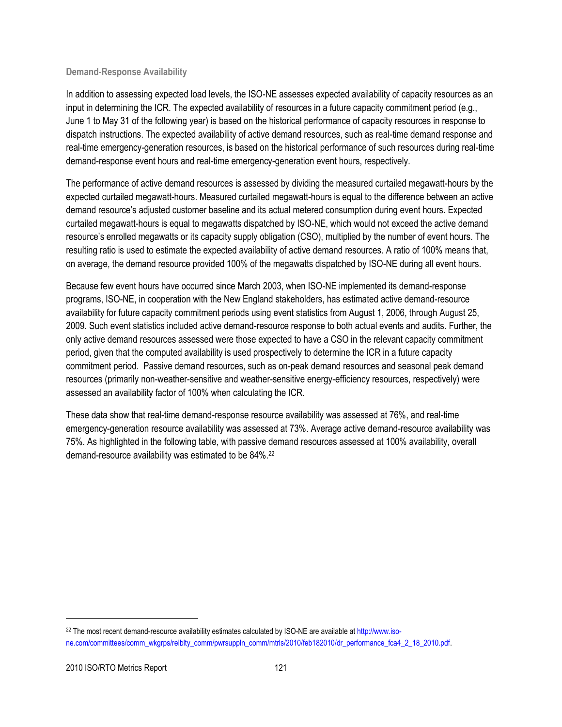#### **Demand-Response Availability**

In addition to assessing expected load levels, the ISO-NE assesses expected availability of capacity resources as an input in determining the ICR. The expected availability of resources in a future capacity commitment period (e.g., June 1 to May 31 of the following year) is based on the historical performance of capacity resources in response to dispatch instructions. The expected availability of active demand resources, such as real-time demand response and real-time emergency-generation resources, is based on the historical performance of such resources during real-time demand-response event hours and real-time emergency-generation event hours, respectively.

The performance of active demand resources is assessed by dividing the measured curtailed megawatt-hours by the expected curtailed megawatt-hours. Measured curtailed megawatt-hours is equal to the difference between an active demand resource's adjusted customer baseline and its actual metered consumption during event hours. Expected curtailed megawatt-hours is equal to megawatts dispatched by ISO-NE, which would not exceed the active demand resource's enrolled megawatts or its capacity supply obligation (CSO), multiplied by the number of event hours. The resulting ratio is used to estimate the expected availability of active demand resources. A ratio of 100% means that, on average, the demand resource provided 100% of the megawatts dispatched by ISO-NE during all event hours.

Because few event hours have occurred since March 2003, when ISO-NE implemented its demand-response programs, ISO-NE, in cooperation with the New England stakeholders, has estimated active demand-resource availability for future capacity commitment periods using event statistics from August 1, 2006, through August 25, 2009. Such event statistics included active demand-resource response to both actual events and audits. Further, the only active demand resources assessed were those expected to have a CSO in the relevant capacity commitment period, given that the computed availability is used prospectively to determine the ICR in a future capacity commitment period. Passive demand resources, such as on-peak demand resources and seasonal peak demand resources (primarily non-weather-sensitive and weather-sensitive energy-efficiency resources, respectively) were assessed an availability factor of 100% when calculating the ICR.

These data show that real-time demand-response resource availability was assessed at 76%, and real-time emergency-generation resource availability was assessed at 73%. Average active demand-resource availability was 75%. As highlighted in the following table, with passive demand resources assessed at 100% availability, overall demand-resource availability was estimated to be 84%.<sup>22</sup>

<sup>&</sup>lt;sup>22</sup> The most recent demand-resource availability estimates calculated by ISO-NE are available a[t http://www.iso](http://www.iso-ne.com/committees/comm_wkgrps/relblty_comm/pwrsuppln_comm/mtrls/2010/feb182010/dr_performance_fca4_2_18_2010.pdf)[ne.com/committees/comm\\_wkgrps/relblty\\_comm/pwrsuppln\\_comm/mtrls/2010/feb182010/dr\\_performance\\_fca4\\_2\\_18\\_2010.pdf.](http://www.iso-ne.com/committees/comm_wkgrps/relblty_comm/pwrsuppln_comm/mtrls/2010/feb182010/dr_performance_fca4_2_18_2010.pdf)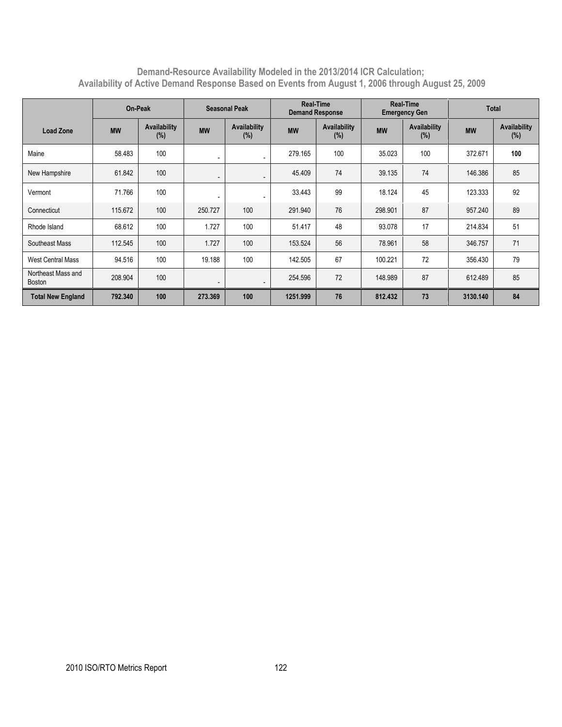#### **Demand-Resource Availability Modeled in the 2013/2014 ICR Calculation; Availability of Active Demand Response Based on Events from August 1, 2006 through August 25, 2009**

|                              | On-Peak   |                        | <b>Seasonal Peak</b>     |                            | <b>Real-Time</b><br><b>Demand Response</b> |                        | <b>Real-Time</b><br><b>Emergency Gen</b> |                     | <b>Total</b> |                        |
|------------------------------|-----------|------------------------|--------------------------|----------------------------|--------------------------------------------|------------------------|------------------------------------------|---------------------|--------------|------------------------|
| Load Zone                    | <b>MW</b> | Availability<br>$(\%)$ | <b>MW</b>                | <b>Availability</b><br>(%) | <b>MW</b>                                  | Availability<br>$(\%)$ | <b>MW</b>                                | Availability<br>(%) | <b>MW</b>    | Availability<br>$(\%)$ |
| Maine                        | 58.483    | 100                    | $\overline{\phantom{a}}$ |                            | 279.165                                    | 100                    | 35.023                                   | 100                 | 372.671      | 100                    |
| New Hampshire                | 61.842    | 100                    | $\overline{\phantom{a}}$ | $\overline{\phantom{a}}$   | 45.409                                     | 74                     | 39.135                                   | 74                  | 146.386      | 85                     |
| Vermont                      | 71.766    | 100                    | $\overline{\phantom{a}}$ |                            | 33.443                                     | 99                     | 18.124                                   | 45                  | 123.333      | 92                     |
| Connecticut                  | 115.672   | 100                    | 250.727                  | 100                        | 291.940                                    | 76                     | 298.901                                  | 87                  | 957.240      | 89                     |
| Rhode Island                 | 68.612    | 100                    | 1.727                    | 100                        | 51.417                                     | 48                     | 93.078                                   | 17                  | 214.834      | 51                     |
| Southeast Mass               | 112.545   | 100                    | 1.727                    | 100                        | 153.524                                    | 56                     | 78.961                                   | 58                  | 346.757      | 71                     |
| <b>West Central Mass</b>     | 94.516    | 100                    | 19.188                   | 100                        | 142.505                                    | 67                     | 100.221                                  | 72                  | 356.430      | 79                     |
| Northeast Mass and<br>Boston | 208.904   | 100                    | $\overline{\phantom{a}}$ | $\overline{\phantom{a}}$   | 254.596                                    | 72                     | 148.989                                  | 87                  | 612.489      | 85                     |
| <b>Total New England</b>     | 792.340   | 100                    | 273.369                  | 100                        | 1251.999                                   | 76                     | 812.432                                  | 73                  | 3130.140     | 84                     |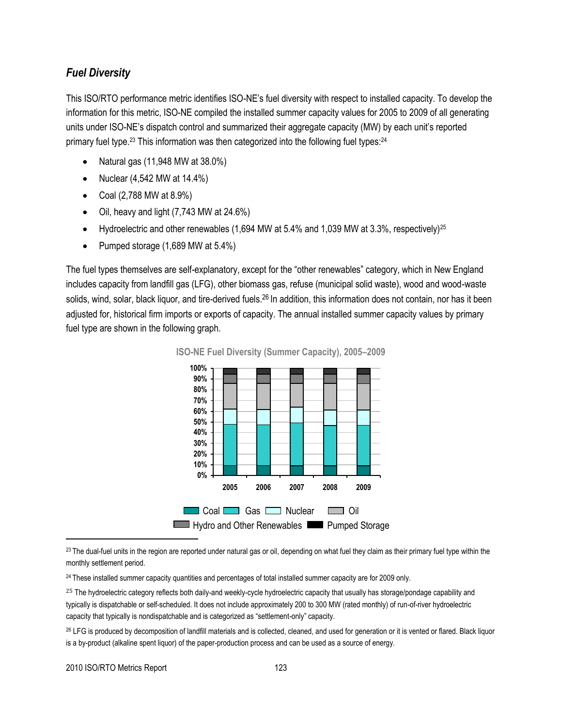### *Fuel Diversity*

This ISO/RTO performance metric identifies ISO-NE's fuel diversity with respect to installed capacity. To develop the information for this metric, ISO-NE compiled the installed summer capacity values for 2005 to 2009 of all generating units under ISO-NE's dispatch control and summarized their aggregate capacity (MW) by each unit's reported primary fuel type.<sup>23</sup> This information was then categorized into the following fuel types:<sup>24</sup>

- Natural gas (11,948 MW at 38.0%)
- Nuclear  $(4,542 \text{ MW at } 14.4\%)$
- Coal  $(2,788 \text{ MW at } 8.9\%)$
- Oil, heavy and light (7,743 MW at 24.6%)
- Hydroelectric and other renewables (1,694 MW at 5.4% and 1,039 MW at 3.3%, respectively)<sup>25</sup>
- Pumped storage (1,689 MW at 5.4%)

The fuel types themselves are self-explanatory, except for the "other renewables" category, which in New England includes capacity from landfill gas (LFG), other biomass gas, refuse (municipal solid waste), wood and wood-waste solids, wind, solar, black liquor, and tire-derived fuels.<sup>26</sup> In addition, this information does not contain, nor has it been adjusted for, historical firm imports or exports of capacity. The annual installed summer capacity values by primary fuel type are shown in the following graph.



**ISO-NE Fuel Diversity (Summer Capacity), 2005–2009**

 $23$  The dual-fuel units in the region are reported under natural gas or oil, depending on what fuel they claim as their primary fuel type within the monthly settlement period.

<sup>24</sup> These installed summer capacity quantities and percentages of total installed summer capacity are for 2009 only.

<sup>25</sup> The hydroelectric category reflects both daily-and weekly-cycle hydroelectric capacity that usually has storage/pondage capability and typically is dispatchable or self-scheduled. It does not include approximately 200 to 300 MW (rated monthly) of run-of-river hydroelectric capacity that typically is nondispatchable and is categorized as "settlement-only" capacity.

<sup>26</sup> LFG is produced by decomposition of landfill materials and is collected, cleaned, and used for generation or it is vented or flared. Black liquor is a by-product (alkaline spent liquor) of the paper-production process and can be used as a source of energy.

l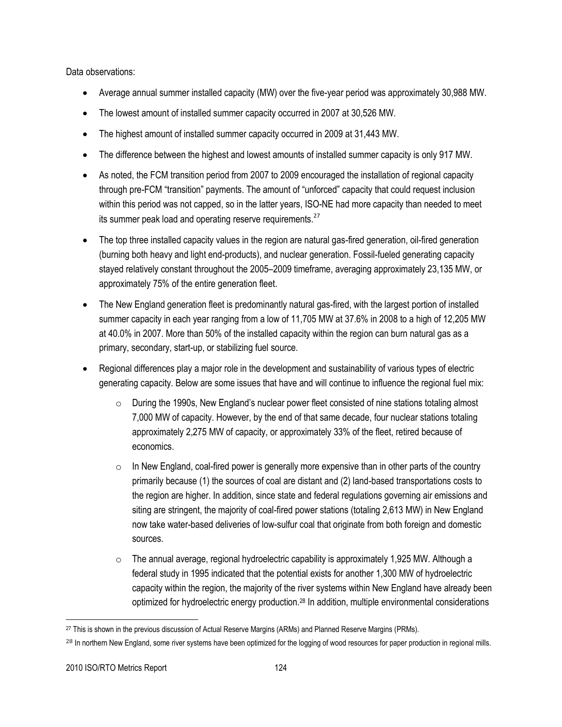Data observations:

- Average annual summer installed capacity (MW) over the five-year period was approximately 30,988 MW.
- The lowest amount of installed summer capacity occurred in 2007 at 30,526 MW.
- The highest amount of installed summer capacity occurred in 2009 at 31,443 MW.
- The difference between the highest and lowest amounts of installed summer capacity is only 917 MW.
- As noted, the FCM transition period from 2007 to 2009 encouraged the installation of regional capacity through pre-FCM "transition" payments. The amount of "unforced" capacity that could request inclusion within this period was not capped, so in the latter years, ISO-NE had more capacity than needed to meet its summer peak load and operating reserve requirements.<sup>27</sup>
- The top three installed capacity values in the region are natural gas-fired generation, oil-fired generation (burning both heavy and light end-products), and nuclear generation. Fossil-fueled generating capacity stayed relatively constant throughout the 2005–2009 timeframe, averaging approximately 23,135 MW, or approximately 75% of the entire generation fleet.
- The New England generation fleet is predominantly natural gas-fired, with the largest portion of installed summer capacity in each year ranging from a low of 11,705 MW at 37.6% in 2008 to a high of 12,205 MW at 40.0% in 2007. More than 50% of the installed capacity within the region can burn natural gas as a primary, secondary, start-up, or stabilizing fuel source.
- Regional differences play a major role in the development and sustainability of various types of electric generating capacity. Below are some issues that have and will continue to influence the regional fuel mix:
	- $\circ$  During the 1990s, New England's nuclear power fleet consisted of nine stations totaling almost 7,000 MW of capacity. However, by the end of that same decade, four nuclear stations totaling approximately 2,275 MW of capacity, or approximately 33% of the fleet, retired because of economics.
	- $\circ$  In New England, coal-fired power is generally more expensive than in other parts of the country primarily because (1) the sources of coal are distant and (2) land-based transportations costs to the region are higher. In addition, since state and federal regulations governing air emissions and siting are stringent, the majority of coal-fired power stations (totaling 2,613 MW) in New England now take water-based deliveries of low-sulfur coal that originate from both foreign and domestic sources.
	- $\circ$  The annual average, regional hydroelectric capability is approximately 1,925 MW. Although a federal study in 1995 indicated that the potential exists for another 1,300 MW of hydroelectric capacity within the region, the majority of the river systems within New England have already been optimized for hydroelectric energy production.<sup>28</sup> In addition, multiple environmental considerations

 $\overline{a}$ <sup>27</sup> This is shown in the previous discussion of Actual Reserve Margins (ARMs) and Planned Reserve Margins (PRMs).

<sup>&</sup>lt;sup>28</sup> In northern New England, some river systems have been optimized for the logging of wood resources for paper production in regional mills.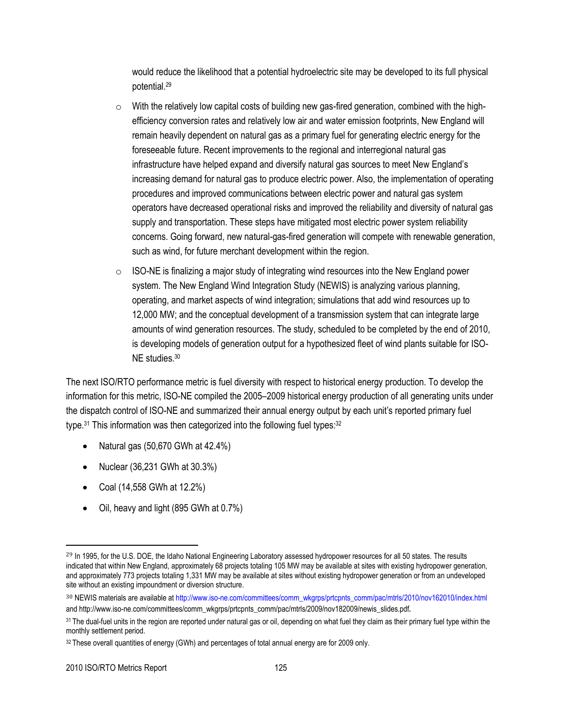would reduce the likelihood that a potential hydroelectric site may be developed to its full physical potential.<sup>29</sup>

- $\circ$  With the relatively low capital costs of building new gas-fired generation, combined with the highefficiency conversion rates and relatively low air and water emission footprints, New England will remain heavily dependent on natural gas as a primary fuel for generating electric energy for the foreseeable future. Recent improvements to the regional and interregional natural gas infrastructure have helped expand and diversify natural gas sources to meet New England's increasing demand for natural gas to produce electric power. Also, the implementation of operating procedures and improved communications between electric power and natural gas system operators have decreased operational risks and improved the reliability and diversity of natural gas supply and transportation. These steps have mitigated most electric power system reliability concerns. Going forward, new natural-gas-fired generation will compete with renewable generation, such as wind, for future merchant development within the region.
- $\circ$  ISO-NE is finalizing a major study of integrating wind resources into the New England power system. The New England Wind Integration Study (NEWIS) is analyzing various planning, operating, and market aspects of wind integration; simulations that add wind resources up to 12,000 MW; and the conceptual development of a transmission system that can integrate large amounts of wind generation resources. The study, scheduled to be completed by the end of 2010, is developing models of generation output for a hypothesized fleet of wind plants suitable for ISO-NE studies.<sup>30</sup>

The next ISO/RTO performance metric is fuel diversity with respect to historical energy production. To develop the information for this metric, ISO-NE compiled the 2005–2009 historical energy production of all generating units under the dispatch control of ISO-NE and summarized their annual energy output by each unit's reported primary fuel type.<sup>31</sup> This information was then categorized into the following fuel types:<sup>32</sup>

- Natural gas  $(50,670)$  GWh at  $42.4\%$ )
- Nuclear (36,231 GWh at 30.3%)
- Coal (14,558 GWh at 12.2%)
- Oil, heavy and light (895 GWh at 0.7%)

<sup>&</sup>lt;sup>29</sup> In 1995, for the U.S. DOE, the Idaho National Engineering Laboratory assessed hydropower resources for all 50 states. The results indicated that within New England, approximately 68 projects totaling 105 MW may be available at sites with existing hydropower generation, and approximately 773 projects totaling 1,331 MW may be available at sites without existing hydropower generation or from an undeveloped site without an existing impoundment or diversion structure.

<sup>30</sup> NEWIS materials are available a[t http://www.iso-ne.com/committees/comm\\_wkgrps/prtcpnts\\_comm/pac/mtrls/2010/nov162010/index.html](http://www.iso-ne.com/committees/comm_wkgrps/prtcpnts_comm/pac/mtrls/2010/nov162010/index.html) an[d http://www.iso-ne.com/committees/comm\\_wkgrps/prtcpnts\\_comm/pac/mtrls/2009/nov182009/newis\\_slides.pdf](http://www.iso-ne.com/committees/comm_wkgrps/prtcpnts_comm/pac/mtrls/2009/nov182009/newis_slides.pdf).

<sup>&</sup>lt;sup>31</sup> The dual-fuel units in the region are reported under natural gas or oil, depending on what fuel they claim as their primary fuel type within the monthly settlement period.

<sup>&</sup>lt;sup>32</sup> These overall quantities of energy (GWh) and percentages of total annual energy are for 2009 only.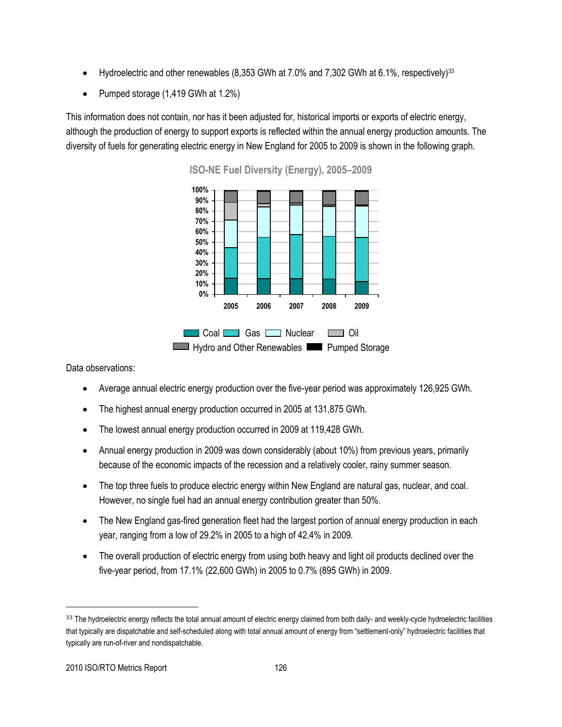- Hydroelectric and other renewables (8,353 GWh at 7.0% and 7,302 GWh at 6.1%, respectively)<sup>33</sup>
- Pumped storage (1,419 GWh at 1.2%)

This information does not contain, nor has it been adjusted for, historical imports or exports of electric energy, although the production of energy to support exports is reflected within the annual energy production amounts. The diversity of fuels for generating electric energy in New England for 2005 to 2009 is shown in the following graph.



**ISO-NE Fuel Diversity (Energy), 2005–2009**

Data observations:

- Average annual electric energy production over the five-year period was approximately 126,925 GWh.
- The highest annual energy production occurred in 2005 at 131,875 GWh.
- The lowest annual energy production occurred in 2009 at 119,428 GWh.
- Annual energy production in 2009 was down considerably (about 10%) from previous years, primarily because of the economic impacts of the recession and a relatively cooler, rainy summer season.
- The top three fuels to produce electric energy within New England are natural gas, nuclear, and coal. However, no single fuel had an annual energy contribution greater than 50%.
- The New England gas-fired generation fleet had the largest portion of annual energy production in each year, ranging from a low of 29.2% in 2005 to a high of 42.4% in 2009.
- The overall production of electric energy from using both heavy and light oil products declined over the five-year period, from 17.1% (22,600 GWh) in 2005 to 0.7% (895 GWh) in 2009.

<sup>33</sup> The hydroelectric energy reflects the total annual amount of electric energy claimed from both daily- and weekly-cycle hydroelectric facilities that typically are dispatchable and self-scheduled along with total annual amount of energy from "settlement-only" hydroelectric facilities that typically are run-of-river and nondispatchable.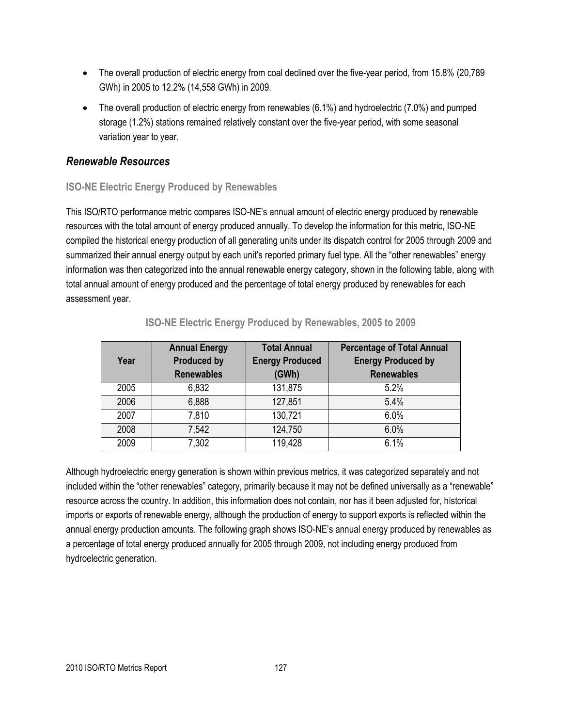- The overall production of electric energy from coal declined over the five-year period, from 15.8% (20,789) GWh) in 2005 to 12.2% (14,558 GWh) in 2009.
- The overall production of electric energy from renewables (6.1%) and hydroelectric (7.0%) and pumped storage (1.2%) stations remained relatively constant over the five-year period, with some seasonal variation year to year.

## *Renewable Resources*

## **ISO-NE Electric Energy Produced by Renewables**

This ISO/RTO performance metric compares ISO-NE's annual amount of electric energy produced by renewable resources with the total amount of energy produced annually. To develop the information for this metric, ISO-NE compiled the historical energy production of all generating units under its dispatch control for 2005 through 2009 and summarized their annual energy output by each unit's reported primary fuel type. All the "other renewables" energy information was then categorized into the annual renewable energy category, shown in the following table, along with total annual amount of energy produced and the percentage of total energy produced by renewables for each assessment year.

| Year | <b>Total Annual</b><br><b>Annual Energy</b><br><b>Produced by</b><br><b>Energy Produced</b><br><b>Renewables</b><br>(GWh) |         | <b>Percentage of Total Annual</b><br><b>Energy Produced by</b><br><b>Renewables</b> |
|------|---------------------------------------------------------------------------------------------------------------------------|---------|-------------------------------------------------------------------------------------|
| 2005 | 6,832                                                                                                                     | 131,875 | 5.2%                                                                                |
| 2006 | 6,888                                                                                                                     | 127,851 | 5.4%                                                                                |
| 2007 | 7,810                                                                                                                     | 130,721 | 6.0%                                                                                |
| 2008 | 7,542                                                                                                                     | 124,750 | 6.0%                                                                                |
| 2009 | 7,302                                                                                                                     | 119,428 | 6.1%                                                                                |

## **ISO-NE Electric Energy Produced by Renewables, 2005 to 2009**

Although hydroelectric energy generation is shown within previous metrics, it was categorized separately and not included within the "other renewables" category, primarily because it may not be defined universally as a "renewable" resource across the country. In addition, this information does not contain, nor has it been adjusted for, historical imports or exports of renewable energy, although the production of energy to support exports is reflected within the annual energy production amounts. The following graph shows ISO-NE's annual energy produced by renewables as a percentage of total energy produced annually for 2005 through 2009, not including energy produced from hydroelectric generation.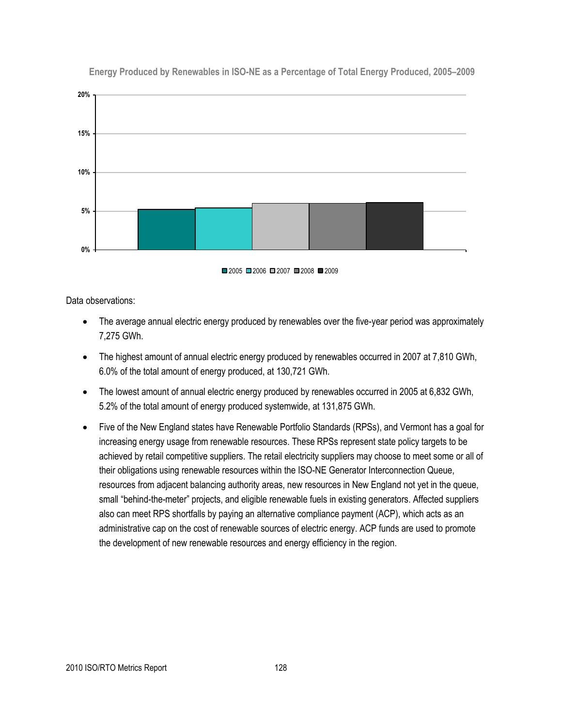

**Energy Produced by Renewables in ISO-NE as a Percentage of Total Energy Produced, 2005–2009**



Data observations:

- The average annual electric energy produced by renewables over the five-year period was approximately 7,275 GWh.
- The highest amount of annual electric energy produced by renewables occurred in 2007 at 7,810 GWh, 6.0% of the total amount of energy produced, at 130,721 GWh.
- The lowest amount of annual electric energy produced by renewables occurred in 2005 at 6,832 GWh, 5.2% of the total amount of energy produced systemwide, at 131,875 GWh.
- Five of the New England states have Renewable Portfolio Standards (RPSs), and Vermont has a goal for increasing energy usage from renewable resources. These RPSs represent state policy targets to be achieved by retail competitive suppliers. The retail electricity suppliers may choose to meet some or all of their obligations using renewable resources within the ISO-NE Generator Interconnection Queue, resources from adjacent balancing authority areas, new resources in New England not yet in the queue, small "behind-the-meter" projects, and eligible renewable fuels in existing generators. Affected suppliers also can meet RPS shortfalls by paying an alternative compliance payment (ACP), which acts as an administrative cap on the cost of renewable sources of electric energy. ACP funds are used to promote the development of new renewable resources and energy efficiency in the region.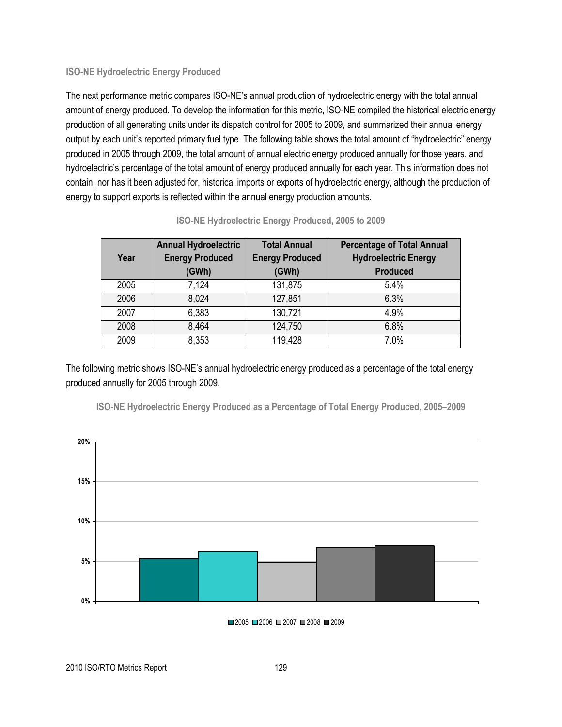#### **ISO-NE Hydroelectric Energy Produced**

The next performance metric compares ISO-NE's annual production of hydroelectric energy with the total annual amount of energy produced. To develop the information for this metric, ISO-NE compiled the historical electric energy production of all generating units under its dispatch control for 2005 to 2009, and summarized their annual energy output by each unit's reported primary fuel type. The following table shows the total amount of "hydroelectric" energy produced in 2005 through 2009, the total amount of annual electric energy produced annually for those years, and hydroelectric's percentage of the total amount of energy produced annually for each year. This information does not contain, nor has it been adjusted for, historical imports or exports of hydroelectric energy, although the production of energy to support exports is reflected within the annual energy production amounts.

| Year | <b>Annual Hydroelectric</b><br><b>Energy Produced</b><br>(GWh) | <b>Total Annual</b><br><b>Energy Produced</b><br>(GWh) | <b>Percentage of Total Annual</b><br><b>Hydroelectric Energy</b><br><b>Produced</b> |
|------|----------------------------------------------------------------|--------------------------------------------------------|-------------------------------------------------------------------------------------|
| 2005 | 7,124                                                          | 131,875                                                | 5.4%                                                                                |
| 2006 | 8,024                                                          | 127,851                                                | 6.3%                                                                                |
| 2007 | 6,383                                                          | 130,721                                                | 4.9%                                                                                |
| 2008 | 8,464                                                          | 124,750                                                | 6.8%                                                                                |
| 2009 | 8,353                                                          | 119,428                                                | 7.0%                                                                                |

#### **ISO-NE Hydroelectric Energy Produced, 2005 to 2009**

The following metric shows ISO-NE's annual hydroelectric energy produced as a percentage of the total energy produced annually for 2005 through 2009.



**ISO-NE Hydroelectric Energy Produced as a Percentage of Total Energy Produced, 2005–2009**

■2005 ■2006 ■2007 ■2008 ■2009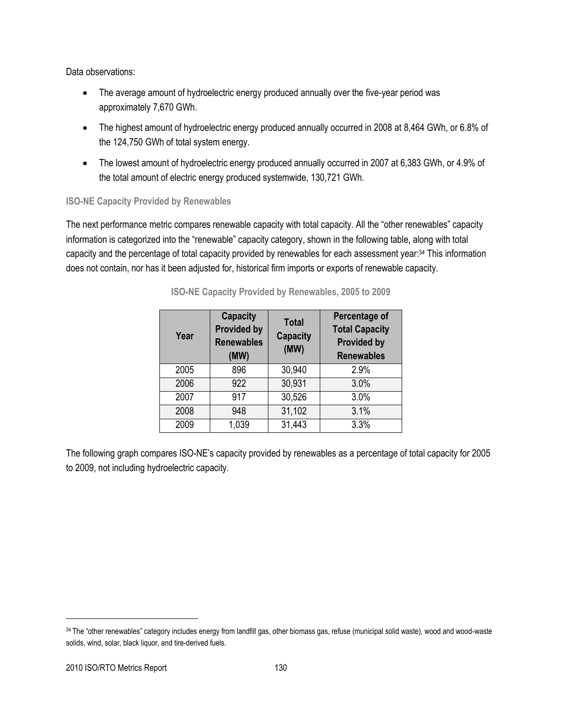Data observations:

- The average amount of hydroelectric energy produced annually over the five-year period was approximately 7,670 GWh.
- The highest amount of hydroelectric energy produced annually occurred in 2008 at 8,464 GWh, or 6.8% of the 124,750 GWh of total system energy.
- The lowest amount of hydroelectric energy produced annually occurred in 2007 at 6,383 GWh, or 4.9% of the total amount of electric energy produced systemwide, 130,721 GWh.

#### **ISO-NE Capacity Provided by Renewables**

The next performance metric compares renewable capacity with total capacity. All the "other renewables" capacity information is categorized into the "renewable" capacity category, shown in the following table, along with total capacity and the percentage of total capacity provided by renewables for each assessment year:<sup>34</sup> This information does not contain, nor has it been adjusted for, historical firm imports or exports of renewable capacity.

| Year | <b>Capacity</b><br><b>Provided by</b><br><b>Renewables</b><br>(MW) | <b>Total</b><br><b>Capacity</b><br>(MW) | Percentage of<br><b>Total Capacity</b><br><b>Provided by</b><br><b>Renewables</b> |
|------|--------------------------------------------------------------------|-----------------------------------------|-----------------------------------------------------------------------------------|
| 2005 | 896                                                                | 30,940                                  | 2.9%                                                                              |
| 2006 | 922                                                                | 30,931                                  | 3.0%                                                                              |
| 2007 | 917                                                                | 30,526                                  | 3.0%                                                                              |
| 2008 | 948                                                                | 31,102                                  | 3.1%                                                                              |
| 2009 | 1,039                                                              | 31,443                                  | 3.3%                                                                              |

#### **ISO-NE Capacity Provided by Renewables, 2005 to 2009**

The following graph compares ISO-NE's capacity provided by renewables as a percentage of total capacity for 2005 to 2009, not including hydroelectric capacity.

<sup>34</sup> The "other renewables" category includes energy from landfill gas, other biomass gas, refuse (municipal solid waste), wood and wood-waste solids, wind, solar, black liquor, and tire-derived fuels.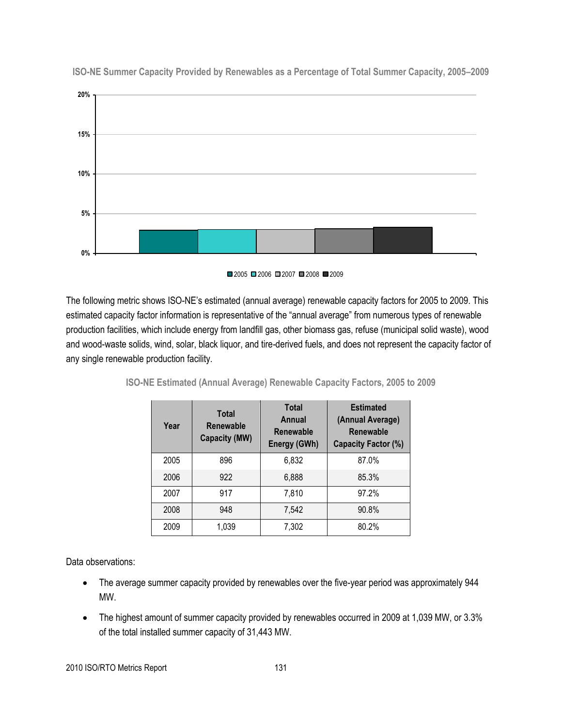

**ISO-NE Summer Capacity Provided by Renewables as a Percentage of Total Summer Capacity, 2005–2009**



The following metric shows ISO-NE's estimated (annual average) renewable capacity factors for 2005 to 2009. This estimated capacity factor information is representative of the "annual average" from numerous types of renewable production facilities, which include energy from landfill gas, other biomass gas, refuse (municipal solid waste), wood and wood-waste solids, wind, solar, black liquor, and tire-derived fuels, and does not represent the capacity factor of any single renewable production facility.

| Year | <b>Total</b><br><b>Renewable</b><br>Capacity (MW) | <b>Total</b><br>Annual<br><b>Renewable</b><br>Energy (GWh) | <b>Estimated</b><br>(Annual Average)<br>Renewable<br>Capacity Factor (%) |
|------|---------------------------------------------------|------------------------------------------------------------|--------------------------------------------------------------------------|
| 2005 | 896                                               | 6,832                                                      | 87.0%                                                                    |
| 2006 | 922                                               | 6,888                                                      | 85.3%                                                                    |
| 2007 | 917                                               | 7,810                                                      | 97.2%                                                                    |
| 2008 | 948                                               | 7,542                                                      | 90.8%                                                                    |
| 2009 | 1,039                                             | 7,302                                                      | 80.2%                                                                    |

**ISO-NE Estimated (Annual Average) Renewable Capacity Factors, 2005 to 2009**

Data observations:

- The average summer capacity provided by renewables over the five-year period was approximately 944 MW.
- The highest amount of summer capacity provided by renewables occurred in 2009 at 1,039 MW, or 3.3% of the total installed summer capacity of 31,443 MW.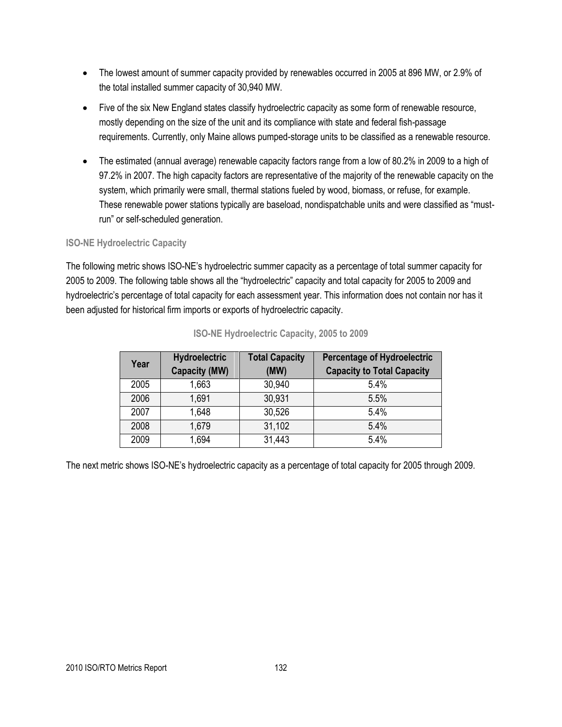- The lowest amount of summer capacity provided by renewables occurred in 2005 at 896 MW, or 2.9% of the total installed summer capacity of 30,940 MW.
- Five of the six New England states classify hydroelectric capacity as some form of renewable resource, mostly depending on the size of the unit and its compliance with state and federal fish-passage requirements. Currently, only Maine allows pumped-storage units to be classified as a renewable resource.
- The estimated (annual average) renewable capacity factors range from a low of 80.2% in 2009 to a high of 97.2% in 2007. The high capacity factors are representative of the majority of the renewable capacity on the system, which primarily were small, thermal stations fueled by wood, biomass, or refuse, for example. These renewable power stations typically are baseload, nondispatchable units and were classified as "mustrun" or self-scheduled generation.

#### **ISO-NE Hydroelectric Capacity**

The following metric shows ISO-NE's hydroelectric summer capacity as a percentage of total summer capacity for 2005 to 2009. The following table shows all the "hydroelectric" capacity and total capacity for 2005 to 2009 and hydroelectric's percentage of total capacity for each assessment year. This information does not contain nor has it been adjusted for historical firm imports or exports of hydroelectric capacity.

| Year | <b>Total Capacity</b><br><b>Hydroelectric</b><br><b>Capacity (MW)</b><br>(MW) |        | <b>Percentage of Hydroelectric</b><br><b>Capacity to Total Capacity</b> |
|------|-------------------------------------------------------------------------------|--------|-------------------------------------------------------------------------|
| 2005 | 1,663                                                                         | 30,940 | 5.4%                                                                    |
| 2006 | 1,691                                                                         | 30,931 | 5.5%                                                                    |
| 2007 | 1,648                                                                         | 30,526 | 5.4%                                                                    |
| 2008 | 1.679                                                                         | 31,102 | 5.4%                                                                    |
| 2009 | 1,694                                                                         | 31,443 | 5.4%                                                                    |

#### **ISO-NE Hydroelectric Capacity, 2005 to 2009**

The next metric shows ISO-NE's hydroelectric capacity as a percentage of total capacity for 2005 through 2009.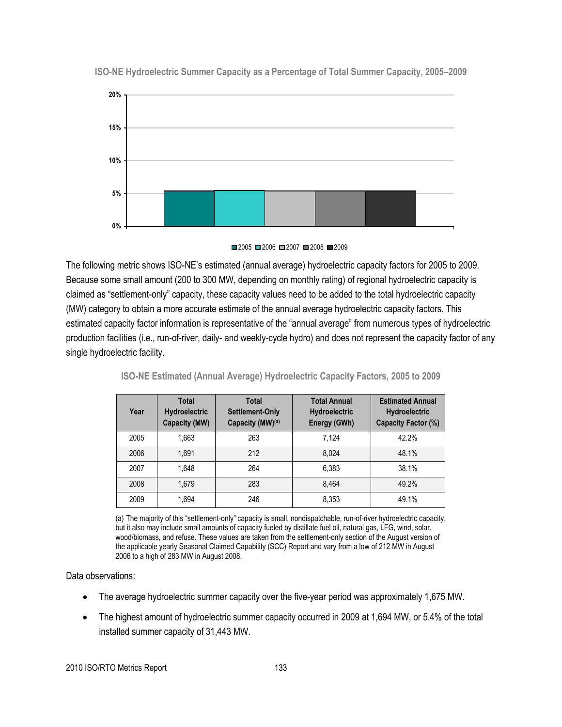

**ISO-NE Hydroelectric Summer Capacity as a Percentage of Total Summer Capacity, 2005–2009**

■2005 ■2006 ■2007 ■2008 ■2009

The following metric shows ISO-NE's estimated (annual average) hydroelectric capacity factors for 2005 to 2009. Because some small amount (200 to 300 MW, depending on monthly rating) of regional hydroelectric capacity is claimed as "settlement-only" capacity, these capacity values need to be added to the total hydroelectric capacity (MW) category to obtain a more accurate estimate of the annual average hydroelectric capacity factors. This estimated capacity factor information is representative of the "annual average" from numerous types of hydroelectric production facilities (i.e., run-of-river, daily- and weekly-cycle hydro) and does not represent the capacity factor of any single hydroelectric facility.

| Year | <b>Total</b><br>Total<br>Hydroelectric<br>Settlement-Only<br>Capacity (MW)(a)<br><b>Capacity (MW)</b> |     | <b>Total Annual</b><br><b>Hydroelectric</b><br>Energy (GWh) | <b>Estimated Annual</b><br><b>Hydroelectric</b><br>Capacity Factor (%) |  |
|------|-------------------------------------------------------------------------------------------------------|-----|-------------------------------------------------------------|------------------------------------------------------------------------|--|
| 2005 | 1.663                                                                                                 | 263 | 7.124                                                       | 42.2%                                                                  |  |
| 2006 | 1.691                                                                                                 | 212 | 8.024                                                       | 48.1%                                                                  |  |
| 2007 | 1.648                                                                                                 | 264 | 6.383                                                       | 38.1%                                                                  |  |
| 2008 | 1.679                                                                                                 | 283 | 8.464                                                       | 49.2%                                                                  |  |
| 2009 | 1.694                                                                                                 | 246 | 8.353                                                       | 49.1%                                                                  |  |

**ISO-NE Estimated (Annual Average) Hydroelectric Capacity Factors, 2005 to 2009**

(a) The majority of this "settlement-only" capacity is small, nondispatchable, run-of-river hydroelectric capacity, but it also may include small amounts of capacity fueled by distillate fuel oil, natural gas, LFG, wind, solar, wood/biomass, and refuse. These values are taken from the settlement-only section of the August version of the applicable yearly Seasonal Claimed Capability (SCC) Report and vary from a low of 212 MW in August 2006 to a high of 283 MW in August 2008.

Data observations:

- The average hydroelectric summer capacity over the five-year period was approximately 1,675 MW.
- The highest amount of hydroelectric summer capacity occurred in 2009 at 1,694 MW, or 5.4% of the total installed summer capacity of 31,443 MW.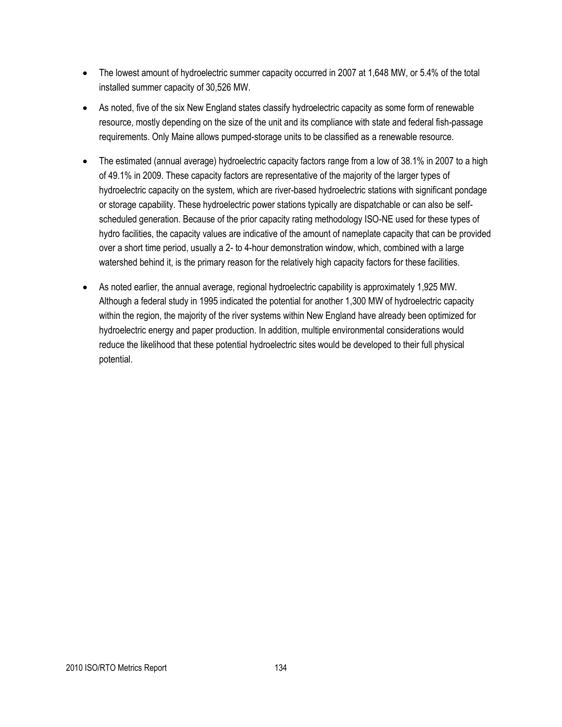- The lowest amount of hydroelectric summer capacity occurred in 2007 at 1,648 MW, or 5.4% of the total installed summer capacity of 30,526 MW.
- As noted, five of the six New England states classify hydroelectric capacity as some form of renewable resource, mostly depending on the size of the unit and its compliance with state and federal fish-passage requirements. Only Maine allows pumped-storage units to be classified as a renewable resource.
- The estimated (annual average) hydroelectric capacity factors range from a low of 38.1% in 2007 to a high of 49.1% in 2009. These capacity factors are representative of the majority of the larger types of hydroelectric capacity on the system, which are river-based hydroelectric stations with significant pondage or storage capability. These hydroelectric power stations typically are dispatchable or can also be selfscheduled generation. Because of the prior capacity rating methodology ISO-NE used for these types of hydro facilities, the capacity values are indicative of the amount of nameplate capacity that can be provided over a short time period, usually a 2- to 4-hour demonstration window, which, combined with a large watershed behind it, is the primary reason for the relatively high capacity factors for these facilities.
- As noted earlier, the annual average, regional hydroelectric capability is approximately 1,925 MW. Although a federal study in 1995 indicated the potential for another 1,300 MW of hydroelectric capacity within the region, the majority of the river systems within New England have already been optimized for hydroelectric energy and paper production. In addition, multiple environmental considerations would reduce the likelihood that these potential hydroelectric sites would be developed to their full physical potential.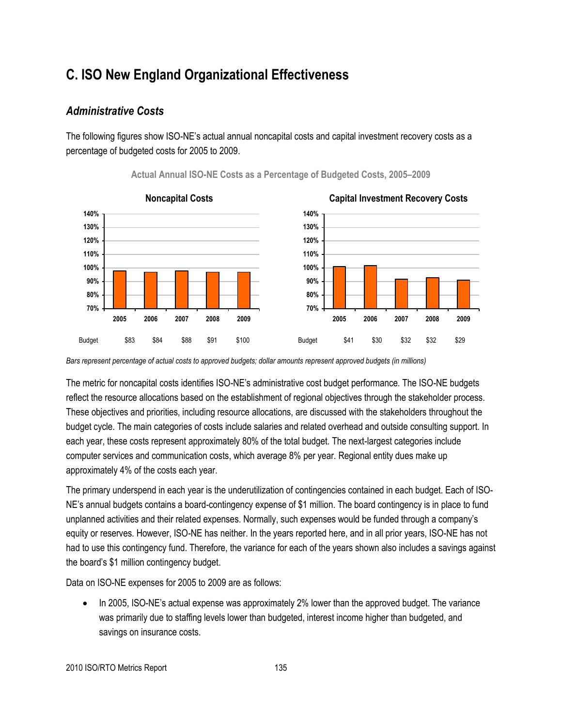## **C. ISO New England Organizational Effectiveness**

## *Administrative Costs*

The following figures show ISO-NE's actual annual noncapital costs and capital investment recovery costs as a percentage of budgeted costs for 2005 to 2009.



#### **Actual Annual ISO-NE Costs as a Percentage of Budgeted Costs, 2005–2009**



*Bars represent percentage of actual costs to approved budgets; dollar amounts represent approved budgets (in millions)*

The metric for noncapital costs identifies ISO-NE's administrative cost budget performance. The ISO-NE budgets reflect the resource allocations based on the establishment of regional objectives through the stakeholder process. These objectives and priorities, including resource allocations, are discussed with the stakeholders throughout the budget cycle. The main categories of costs include salaries and related overhead and outside consulting support. In each year, these costs represent approximately 80% of the total budget. The next-largest categories include computer services and communication costs, which average 8% per year. Regional entity dues make up approximately 4% of the costs each year.

The primary underspend in each year is the underutilization of contingencies contained in each budget. Each of ISO-NE's annual budgets contains a board-contingency expense of \$1 million. The board contingency is in place to fund unplanned activities and their related expenses. Normally, such expenses would be funded through a company's equity or reserves. However, ISO-NE has neither. In the years reported here, and in all prior years, ISO-NE has not had to use this contingency fund. Therefore, the variance for each of the years shown also includes a savings against the board's \$1 million contingency budget.

Data on ISO-NE expenses for 2005 to 2009 are as follows:

 In 2005, ISO-NE's actual expense was approximately 2% lower than the approved budget. The variance was primarily due to staffing levels lower than budgeted, interest income higher than budgeted, and savings on insurance costs.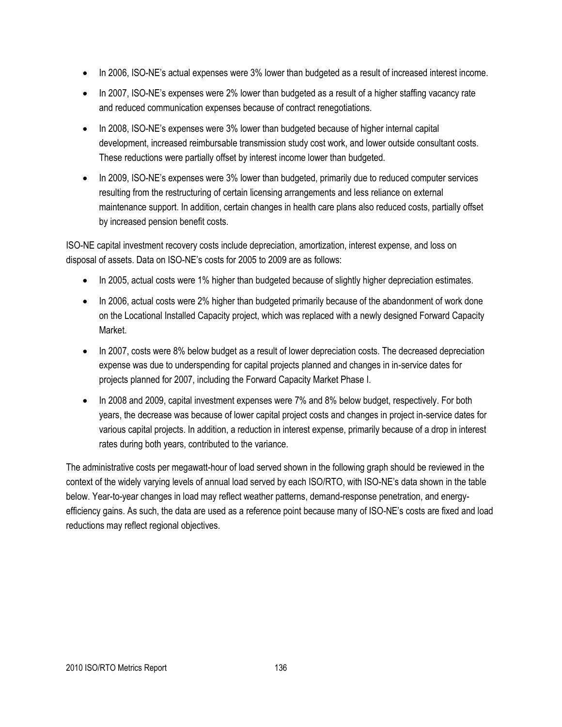- In 2006, ISO-NE's actual expenses were 3% lower than budgeted as a result of increased interest income.
- In 2007, ISO-NE's expenses were 2% lower than budgeted as a result of a higher staffing vacancy rate and reduced communication expenses because of contract renegotiations.
- In 2008, ISO-NE's expenses were 3% lower than budgeted because of higher internal capital development, increased reimbursable transmission study cost work, and lower outside consultant costs. These reductions were partially offset by interest income lower than budgeted.
- In 2009, ISO-NE's expenses were 3% lower than budgeted, primarily due to reduced computer services resulting from the restructuring of certain licensing arrangements and less reliance on external maintenance support. In addition, certain changes in health care plans also reduced costs, partially offset by increased pension benefit costs.

ISO-NE capital investment recovery costs include depreciation, amortization, interest expense, and loss on disposal of assets. Data on ISO-NE's costs for 2005 to 2009 are as follows:

- In 2005, actual costs were 1% higher than budgeted because of slightly higher depreciation estimates.
- In 2006, actual costs were 2% higher than budgeted primarily because of the abandonment of work done on the Locational Installed Capacity project, which was replaced with a newly designed Forward Capacity Market.
- In 2007, costs were 8% below budget as a result of lower depreciation costs. The decreased depreciation expense was due to underspending for capital projects planned and changes in in-service dates for projects planned for 2007, including the Forward Capacity Market Phase I.
- In 2008 and 2009, capital investment expenses were 7% and 8% below budget, respectively. For both years, the decrease was because of lower capital project costs and changes in project in-service dates for various capital projects. In addition, a reduction in interest expense, primarily because of a drop in interest rates during both years, contributed to the variance.

The administrative costs per megawatt-hour of load served shown in the following graph should be reviewed in the context of the widely varying levels of annual load served by each ISO/RTO, with ISO-NE's data shown in the table below. Year-to-year changes in load may reflect weather patterns, demand-response penetration, and energyefficiency gains. As such, the data are used as a reference point because many of ISO-NE's costs are fixed and load reductions may reflect regional objectives.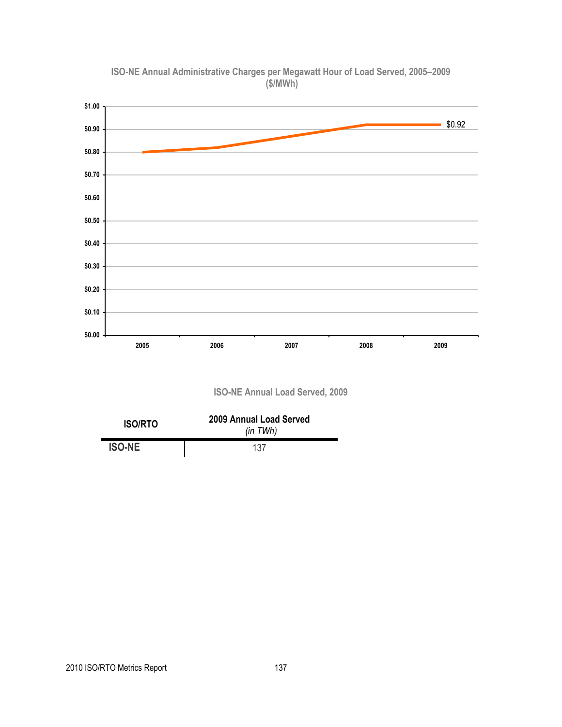

**ISO-NE Annual Administrative Charges per Megawatt Hour of Load Served, 2005–2009 (\$/MWh)**

**ISO-NE Annual Load Served, 2009**

| <b>ISO/RTO</b> | 2009 Annual Load Served<br>(in TWh) |
|----------------|-------------------------------------|
| <b>ISO-NE</b>  | 137                                 |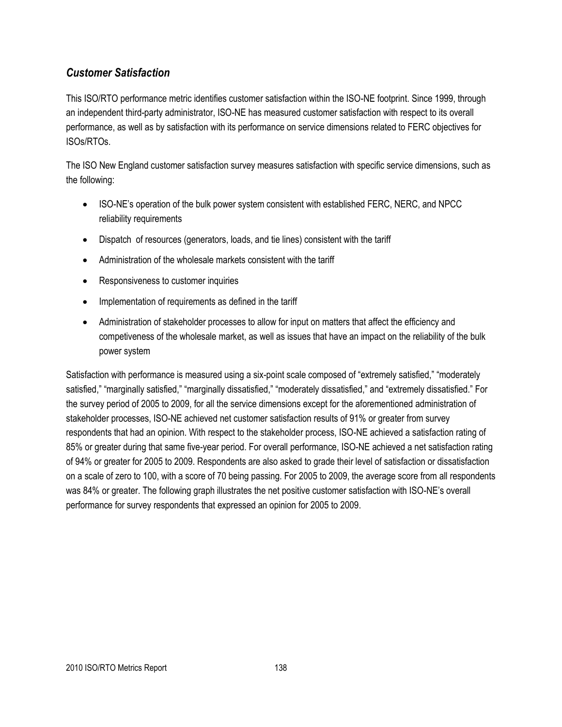## *Customer Satisfaction*

This ISO/RTO performance metric identifies customer satisfaction within the ISO-NE footprint. Since 1999, through an independent third-party administrator, ISO-NE has measured customer satisfaction with respect to its overall performance, as well as by satisfaction with its performance on service dimensions related to FERC objectives for ISOs/RTOs.

The ISO New England customer satisfaction survey measures satisfaction with specific service dimensions, such as the following:

- ISO-NE's operation of the bulk power system consistent with established FERC, NERC, and NPCC reliability requirements
- Dispatch of resources (generators, loads, and tie lines) consistent with the tariff
- Administration of the wholesale markets consistent with the tariff
- Responsiveness to customer inquiries
- Implementation of requirements as defined in the tariff
- Administration of stakeholder processes to allow for input on matters that affect the efficiency and competiveness of the wholesale market, as well as issues that have an impact on the reliability of the bulk power system

Satisfaction with performance is measured using a six-point scale composed of "extremely satisfied," "moderately satisfied," "marginally satisfied," "marginally dissatisfied," "moderately dissatisfied," and "extremely dissatisfied." For the survey period of 2005 to 2009, for all the service dimensions except for the aforementioned administration of stakeholder processes, ISO-NE achieved net customer satisfaction results of 91% or greater from survey respondents that had an opinion. With respect to the stakeholder process, ISO-NE achieved a satisfaction rating of 85% or greater during that same five-year period. For overall performance, ISO-NE achieved a net satisfaction rating of 94% or greater for 2005 to 2009. Respondents are also asked to grade their level of satisfaction or dissatisfaction on a scale of zero to 100, with a score of 70 being passing. For 2005 to 2009, the average score from all respondents was 84% or greater. The following graph illustrates the net positive customer satisfaction with ISO-NE's overall performance for survey respondents that expressed an opinion for 2005 to 2009.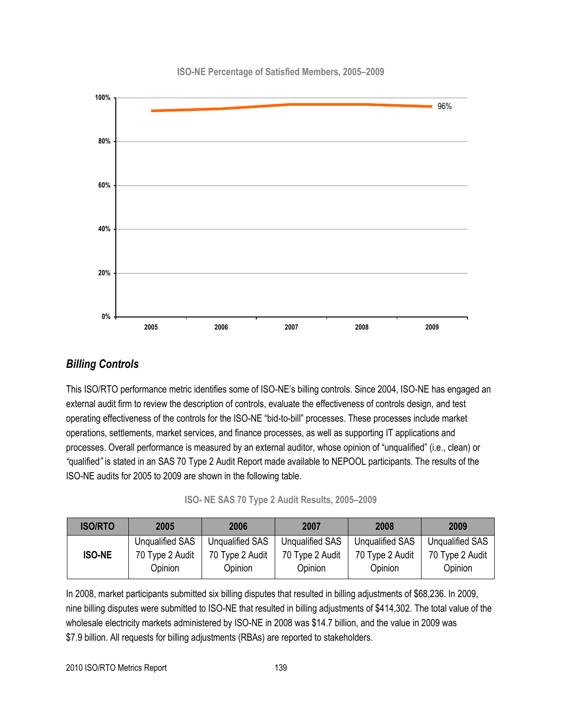**ISO-NE Percentage of Satisfied Members, 2005–2009**



## *Billing Controls*

This ISO/RTO performance metric identifies some of ISO-NE's billing controls. Since 2004, ISO-NE has engaged an external audit firm to review the description of controls, evaluate the effectiveness of controls design, and test operating effectiveness of the controls for the ISO-NE "bid-to-bill" processes. These processes include market operations, settlements, market services, and finance processes, as well as supporting IT applications and processes. Overall performance is measured by an external auditor, whose opinion of "unqualified" (i.e., clean) or *"*qualified*"* is stated in an SAS 70 Type 2 Audit Report made available to NEPOOL participants. The results of the ISO-NE audits for 2005 to 2009 are shown in the following table.

|  |  |  |  |  |  |  | ISO- NE SAS 70 Type 2 Audit Results, 2005-2009 |  |  |
|--|--|--|--|--|--|--|------------------------------------------------|--|--|
|--|--|--|--|--|--|--|------------------------------------------------|--|--|

| <b>ISO/RTO</b> | 2005<br>2006               |                            | 2007                       | 2008                       | 2009                       |
|----------------|----------------------------|----------------------------|----------------------------|----------------------------|----------------------------|
|                | Unqualified SAS            | <b>Unqualified SAS</b>     | <b>Unqualified SAS</b>     | <b>Unqualified SAS</b>     | <b>Unqualified SAS</b>     |
| <b>ISO-NE</b>  | 70 Type 2 Audit<br>Opinion | 70 Type 2 Audit<br>Opinion | 70 Type 2 Audit<br>Opinion | 70 Type 2 Audit<br>Opinion | 70 Type 2 Audit<br>Opinion |

In 2008, market participants submitted six billing disputes that resulted in billing adjustments of \$68,236. In 2009, nine billing disputes were submitted to ISO-NE that resulted in billing adjustments of \$414,302. The total value of the wholesale electricity markets administered by ISO-NE in 2008 was \$14.7 billion, and the value in 2009 was \$7.9 billion. All requests for billing adjustments (RBAs) are reported to stakeholders.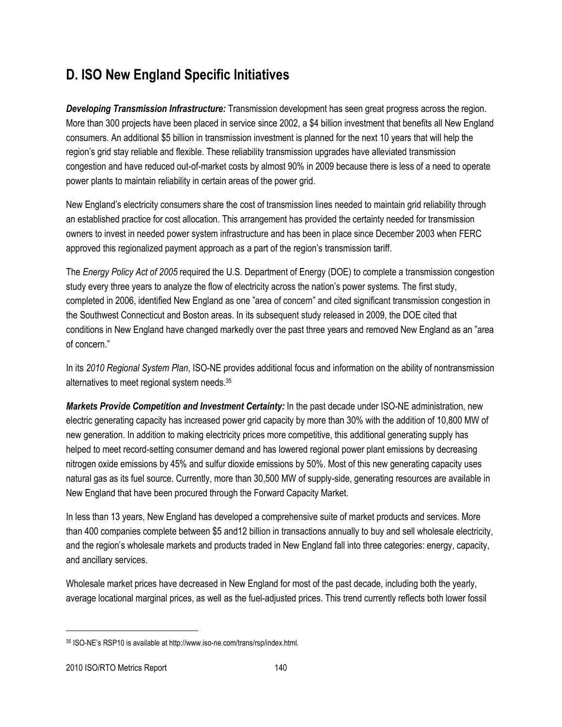## **D. ISO New England Specific Initiatives**

*Developing Transmission Infrastructure:* Transmission development has seen great progress across the region. More than 300 projects have been placed in service since 2002, a \$4 billion investment that benefits all New England consumers. An additional \$5 billion in transmission investment is planned for the next 10 years that will help the region's grid stay reliable and flexible. These reliability transmission upgrades have alleviated transmission congestion and have reduced out-of-market costs by almost 90% in 2009 because there is less of a need to operate power plants to maintain reliability in certain areas of the power grid.

New England's electricity consumers share the cost of transmission lines needed to maintain grid reliability through an established practice for cost allocation. This arrangement has provided the certainty needed for transmission owners to invest in needed power system infrastructure and has been in place since December 2003 when FERC approved this regionalized payment approach as a part of the region's transmission tariff.

The *Energy Policy Act of 2005* required the U.S. Department of Energy (DOE) to complete a transmission congestion study every three years to analyze the flow of electricity across the nation's power systems. The first study, completed in 2006, identified New England as one "area of concern" and cited significant transmission congestion in the Southwest Connecticut and Boston areas. In its subsequent study released in 2009, the DOE cited that conditions in New England have changed markedly over the past three years and removed New England as an "area of concern."

In its *2010 Regional System Plan*, ISO-NE provides additional focus and information on the ability of nontransmission alternatives to meet regional system needs.<sup>35</sup>

*Markets Provide Competition and Investment Certainty:* In the past decade under ISO-NE administration, new electric generating capacity has increased power grid capacity by more than 30% with the addition of 10,800 MW of new generation. In addition to making electricity prices more competitive, this additional generating supply has helped to meet record-setting consumer demand and has lowered regional power plant emissions by decreasing nitrogen oxide emissions by 45% and sulfur dioxide emissions by 50%. Most of this new generating capacity uses natural gas as its fuel source. Currently, more than 30,500 MW of supply-side, generating resources are available in New England that have been procured through the Forward Capacity Market.

In less than 13 years, New England has developed a comprehensive suite of market products and services. More than 400 companies complete between \$5 and12 billion in transactions annually to buy and sell wholesale electricity, and the region's wholesale markets and products traded in New England fall into three categories: energy, capacity, and ancillary services.

Wholesale market prices have decreased in New England for most of the past decade, including both the yearly, average locational marginal prices, as well as the fuel-adjusted prices. This trend currently reflects both lower fossil

 $\overline{a}$ 

<sup>35</sup> ISO-NE's RSP10 is available at http://www.iso-ne.com/trans/rsp/index.html.